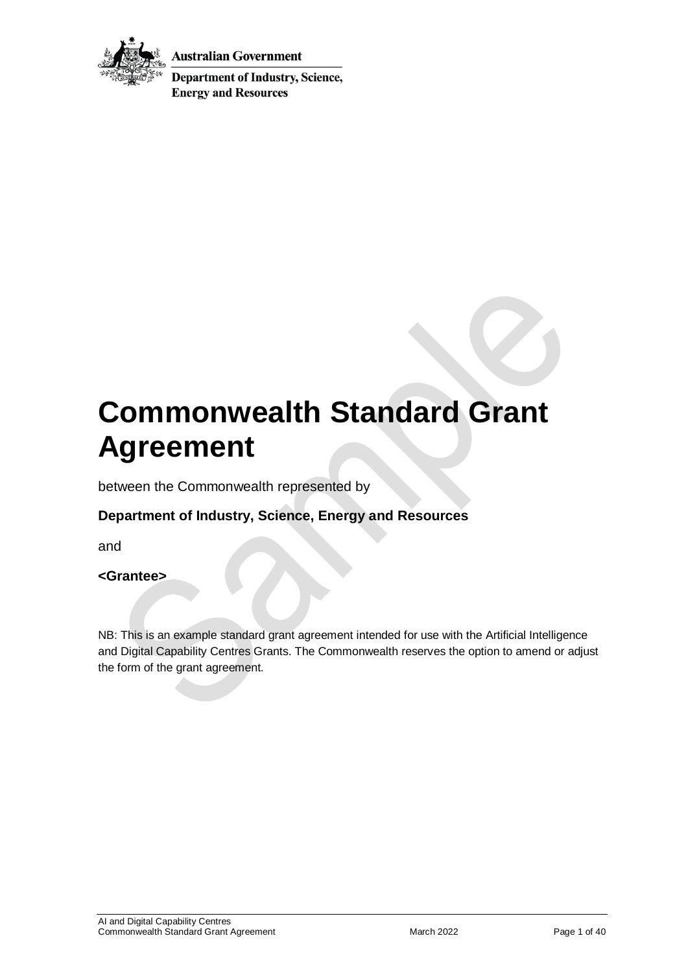

Australian Government

**Department of Industry, Science, Energy and Resources** 

# **Commonwealth Standard Grant Agreement**

between the Commonwealth represented by

## **Department of Industry, Science, Energy and Resources**

and

#### **<Grantee>**

NB: This is an example standard grant agreement intended for use with the Artificial Intelligence and Digital Capability Centres Grants. The Commonwealth reserves the option to amend or adjust the form of the grant agreement.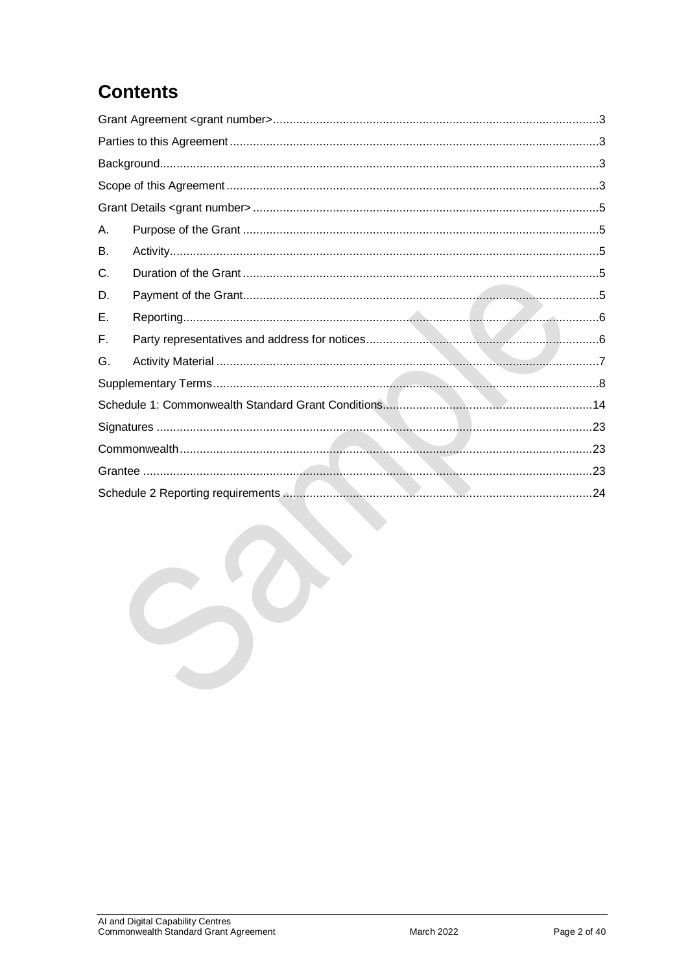## **Contents**

| А. |  |  |  |
|----|--|--|--|
| В. |  |  |  |
| C. |  |  |  |
| D. |  |  |  |
| Е. |  |  |  |
| Е. |  |  |  |
| G. |  |  |  |
|    |  |  |  |
|    |  |  |  |
|    |  |  |  |
|    |  |  |  |
|    |  |  |  |
|    |  |  |  |
|    |  |  |  |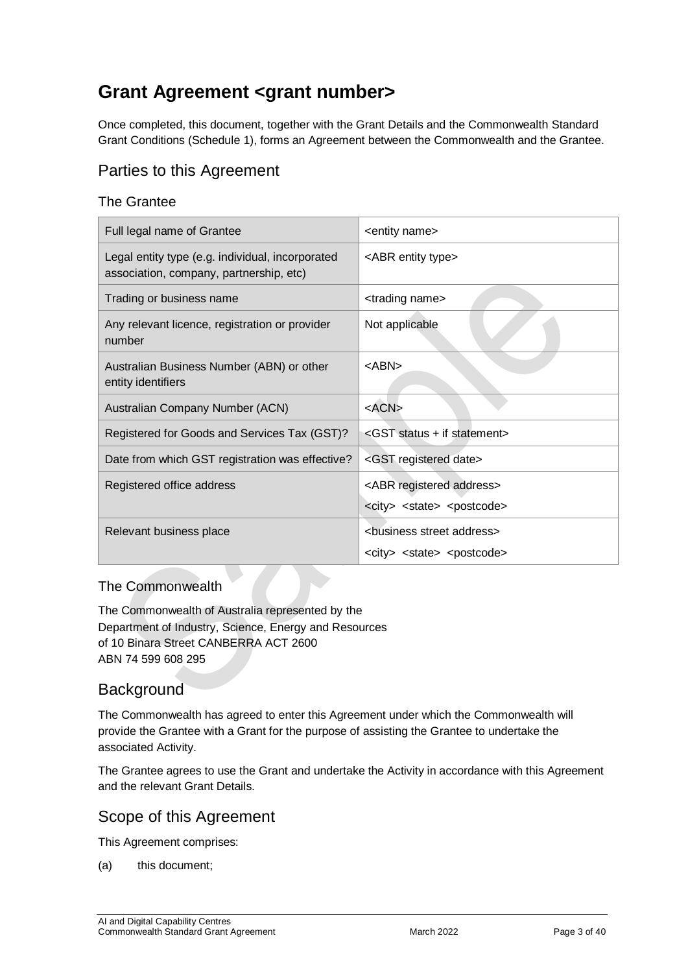## <span id="page-2-0"></span>**Grant Agreement <grant number>**

Once completed, this document, together with the Grant Details and the Commonwealth Standard Grant Conditions (Schedule 1), forms an Agreement between the Commonwealth and the Grantee.

## <span id="page-2-1"></span>Parties to this Agreement

#### The Grantee

| Full legal name of Grantee                                                                  | <entity name=""></entity>                                                                          |
|---------------------------------------------------------------------------------------------|----------------------------------------------------------------------------------------------------|
| Legal entity type (e.g. individual, incorporated<br>association, company, partnership, etc) | <abr entity="" type=""></abr>                                                                      |
| Trading or business name                                                                    | <trading name=""></trading>                                                                        |
| Any relevant licence, registration or provider<br>number                                    | Not applicable                                                                                     |
| Australian Business Number (ABN) or other<br>entity identifiers                             | $<$ ABN $>$                                                                                        |
| Australian Company Number (ACN)                                                             | $<$ ACN $>$                                                                                        |
| Registered for Goods and Services Tax (GST)?                                                | <gst +="" if="" statement="" status=""></gst>                                                      |
| Date from which GST registration was effective?                                             | <gst date="" registered=""></gst>                                                                  |
| Registered office address                                                                   | <abr address="" registered=""><br/><city> <state> <postcode></postcode></state></city></abr>       |
| Relevant business place                                                                     | <business address="" street=""><br/><city> <state> <postcode></postcode></state></city></business> |

#### The Commonwealth

The Commonwealth of Australia represented by the Department of Industry, Science, Energy and Resources of 10 Binara Street CANBERRA ACT 2600 ABN 74 599 608 295

## <span id="page-2-2"></span>**Background**

The Commonwealth has agreed to enter this Agreement under which the Commonwealth will provide the Grantee with a Grant for the purpose of assisting the Grantee to undertake the associated Activity.

The Grantee agrees to use the Grant and undertake the Activity in accordance with this Agreement and the relevant Grant Details.

#### <span id="page-2-3"></span>Scope of this Agreement

This Agreement comprises:

(a) this document;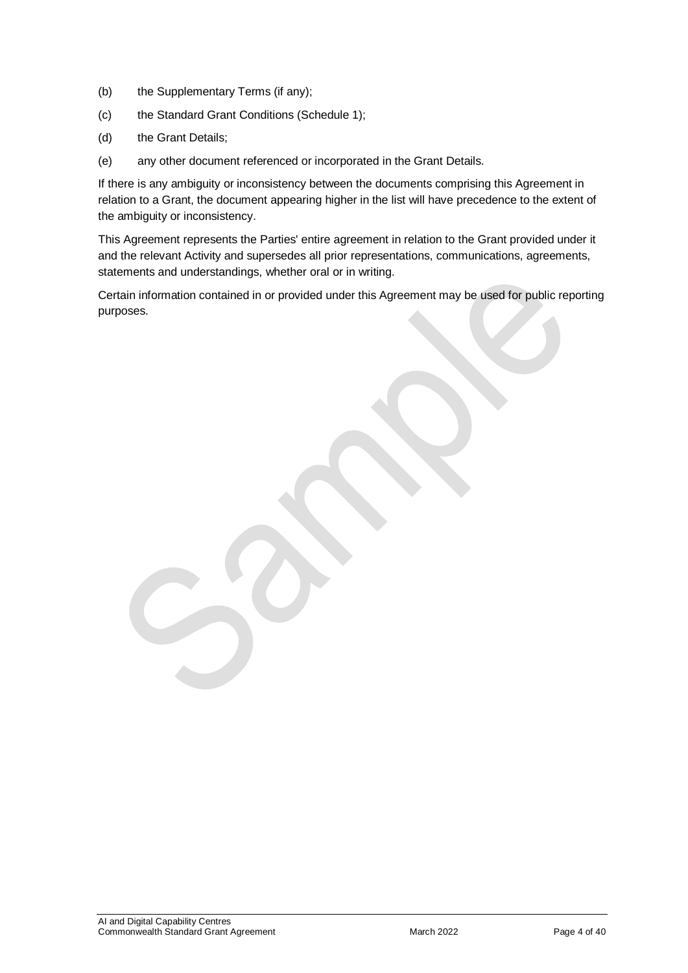- (b) the Supplementary Terms (if any);
- (c) the Standard Grant Conditions (Schedule 1);
- (d) the Grant Details;
- (e) any other document referenced or incorporated in the Grant Details.

If there is any ambiguity or inconsistency between the documents comprising this Agreement in relation to a Grant, the document appearing higher in the list will have precedence to the extent of the ambiguity or inconsistency.

This Agreement represents the Parties' entire agreement in relation to the Grant provided under it and the relevant Activity and supersedes all prior representations, communications, agreements, statements and understandings, whether oral or in writing.

Certain information contained in or provided under this Agreement may be used for public reporting purposes.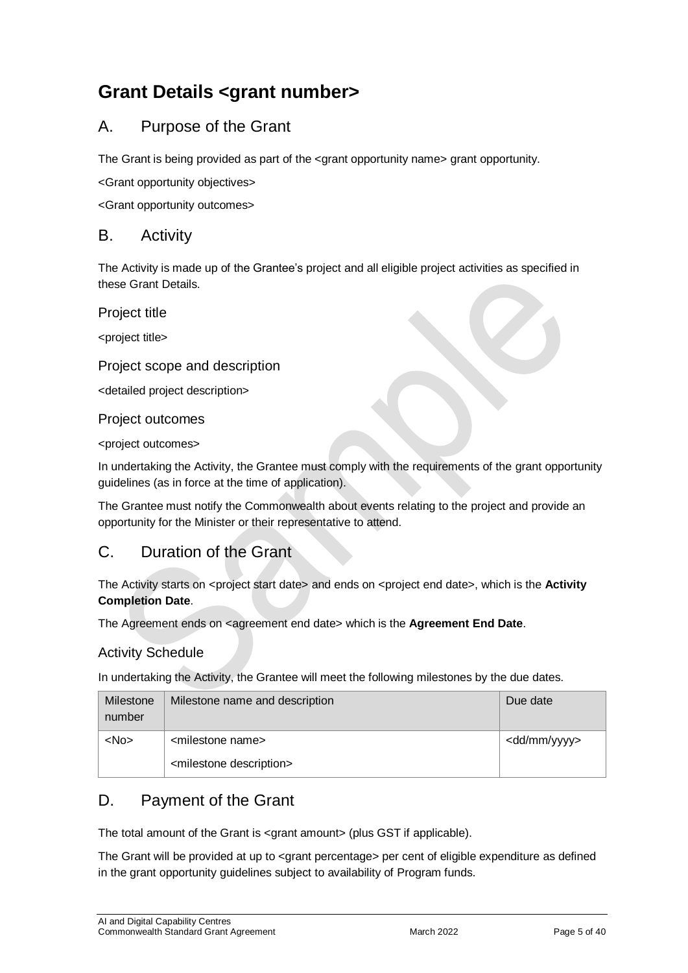## <span id="page-4-0"></span>**Grant Details <grant number>**

## <span id="page-4-1"></span>A. Purpose of the Grant

The Grant is being provided as part of the  $\leq$  arant opportunity name arant opportunity.

<Grant opportunity objectives>

<Grant opportunity outcomes>

#### <span id="page-4-2"></span>B. Activity

The Activity is made up of the Grantee's project and all eligible project activities as specified in these Grant Details.

Project title

<project title>

#### Project scope and description

<detailed project description>

Project outcomes

<project outcomes>

In undertaking the Activity, the Grantee must comply with the requirements of the grant opportunity guidelines (as in force at the time of application).

The Grantee must notify the Commonwealth about events relating to the project and provide an opportunity for the Minister or their representative to attend.

## <span id="page-4-3"></span>C. Duration of the Grant

The Activity starts on <project start date> and ends on <project end date>, which is the **Activity Completion Date**.

The Agreement ends on <agreement end date> which is the **Agreement End Date**.

#### Activity Schedule

In undertaking the Activity, the Grantee will meet the following milestones by the due dates.

| Milestone<br>number | Milestone name and description         | Due date                |
|---------------------|----------------------------------------|-------------------------|
| $<$ No $>$          | <milestone name=""></milestone>        | <dd mm="" yyyy=""></dd> |
|                     | <milestone description=""></milestone> |                         |

## <span id="page-4-4"></span>D. Payment of the Grant

The total amount of the Grant is <grant amount> (plus GST if applicable).

The Grant will be provided at up to <grant percentage> per cent of eligible expenditure as defined in the grant opportunity guidelines subject to availability of Program funds.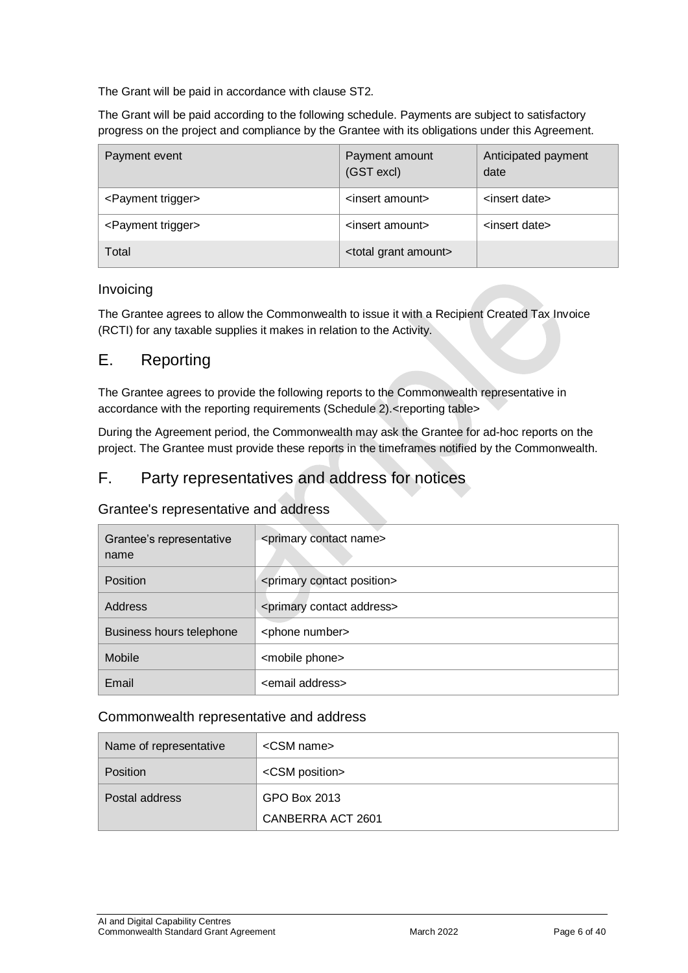The Grant will be paid in accordance with clause [ST2.](#page-7-1)

The Grant will be paid according to the following schedule. Payments are subject to satisfactory progress on the project and compliance by the Grantee with its obligations under this Agreement.

| Payment event                  | Payment amount<br>(GST excl)       | Anticipated payment<br>date |
|--------------------------------|------------------------------------|-----------------------------|
| <payment trigger=""></payment> | <insert amount=""></insert>        | <insert date=""></insert>   |
| <payment trigger=""></payment> | <insert amount=""></insert>        | <insert date=""></insert>   |
| Total                          | <total amount="" grant=""></total> |                             |

#### Invoicing

The Grantee agrees to allow the Commonwealth to issue it with a Recipient Created Tax Invoice (RCTI) for any taxable supplies it makes in relation to the Activity.

#### <span id="page-5-0"></span>E. Reporting

The Grantee agrees to provide the following reports to the Commonwealth representative in accordance with the reporting requirements (Schedule 2).<reporting table>

During the Agreement period, the Commonwealth may ask the Grantee for ad-hoc reports on the project. The Grantee must provide these reports in the timeframes notified by the Commonwealth.

#### <span id="page-5-1"></span>F. Party representatives and address for notices

#### Grantee's representative and address

| Grantee's representative<br>name | <primary contact="" name=""></primary>     |
|----------------------------------|--------------------------------------------|
| <b>Position</b>                  | <primary contact="" position=""></primary> |
| Address                          | <primary address="" contact=""></primary>  |
| Business hours telephone         | <phone number=""></phone>                  |
| <b>Mobile</b>                    | <mobile phone=""></mobile>                 |
| Email                            | <email address=""></email>                 |

#### Commonwealth representative and address

| Name of representative | $<$ CSM name $>$        |
|------------------------|-------------------------|
| Position               | <csm position=""></csm> |
| Postal address         | GPO Box 2013            |
|                        | CANBERRA ACT 2601       |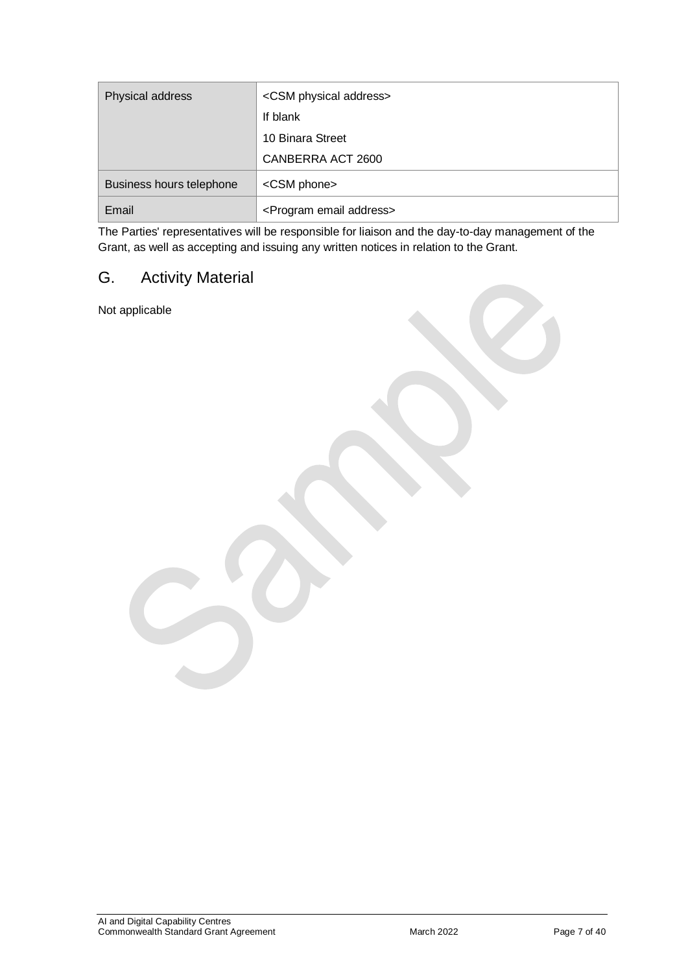| Physical address         | <csm address="" physical=""></csm>      |
|--------------------------|-----------------------------------------|
|                          | If blank                                |
|                          | 10 Binara Street                        |
|                          | CANBERRA ACT 2600                       |
| Business hours telephone | <csm phone=""></csm>                    |
| Email                    | <program address="" email=""></program> |

The Parties' representatives will be responsible for liaison and the day-to-day management of the Grant, as well as accepting and issuing any written notices in relation to the Grant.

## <span id="page-6-0"></span>G. Activity Material

Not applicable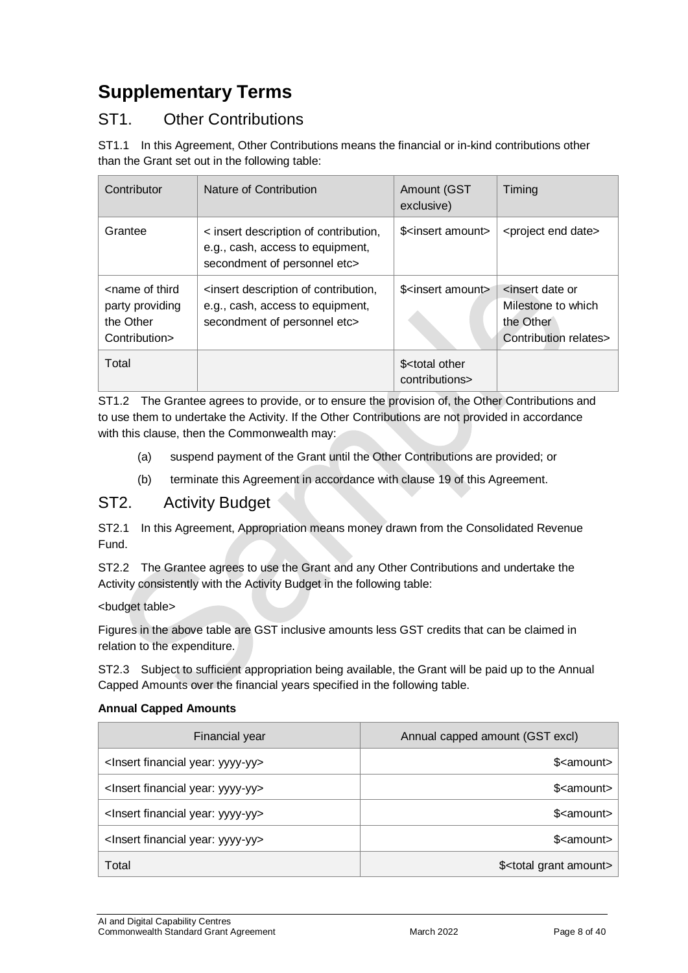## <span id="page-7-0"></span>**Supplementary Terms**

## ST1. Other Contributions

ST1.1 In this Agreement, Other Contributions means the financial or in-kind contributions other than the Grant set out in the following table:

| Contributor                                                                       | Nature of Contribution                                                                                                         | Amount (GST<br>exclusive)                                                        | Timing                                                                      |
|-----------------------------------------------------------------------------------|--------------------------------------------------------------------------------------------------------------------------------|----------------------------------------------------------------------------------|-----------------------------------------------------------------------------|
| Grantee                                                                           | < insert description of contribution,<br>e.g., cash, access to equipment,<br>secondment of personnel etc>                      | \$ <insert amount<="" td=""><td><project date="" end=""></project></td></insert> | <project date="" end=""></project>                                          |
| <name of="" third<br="">party providing<br/>the Other<br/>Contribution&gt;</name> | <insert contribution,<br="" description="" of="">e.g., cash, access to equipment,<br/>secondment of personnel etc&gt;</insert> | \$ <insert amount=""></insert>                                                   | sinsert date or<br>Milestone to which<br>the Other<br>Contribution relates> |
| Total                                                                             |                                                                                                                                | \$ <total other<br="">contributions&gt;</total>                                  |                                                                             |

ST1.2 The Grantee agrees to provide, or to ensure the provision of, the Other Contributions and to use them to undertake the Activity. If the Other Contributions are not provided in accordance with this clause, then the Commonwealth may:

- (a) suspend payment of the Grant until the Other Contributions are provided; or
- (b) terminate this Agreement in accordance with clause 19 of this Agreement.

#### <span id="page-7-1"></span>ST2. Activity Budget

ST2.1 In this Agreement, Appropriation means money drawn from the Consolidated Revenue Fund.

ST2.2 The Grantee agrees to use the Grant and any Other Contributions and undertake the Activity consistently with the Activity Budget in the following table:

#### <budget table>

Figures in the above table are GST inclusive amounts less GST credits that can be claimed in relation to the expenditure.

ST2.3 Subject to sufficient appropriation being available, the Grant will be paid up to the Annual Capped Amounts over the financial years specified in the following table.

#### **Annual Capped Amounts**

| Financial year                                     | Annual capped amount (GST excl)       |
|----------------------------------------------------|---------------------------------------|
| <lnsert financial="" year:="" yyyy-yy=""></lnsert> | \$ <amount></amount>                  |
| <lnsert financial="" year:="" yyyy-yy=""></lnsert> | \$ <amount></amount>                  |
| <lnsert financial="" year:="" yyyy-yy=""></lnsert> | \$ <amount></amount>                  |
| <lnsert financial="" year:="" yyyy-yy=""></lnsert> | \$ <amount></amount>                  |
| Total                                              | \$ <total amount="" grant=""></total> |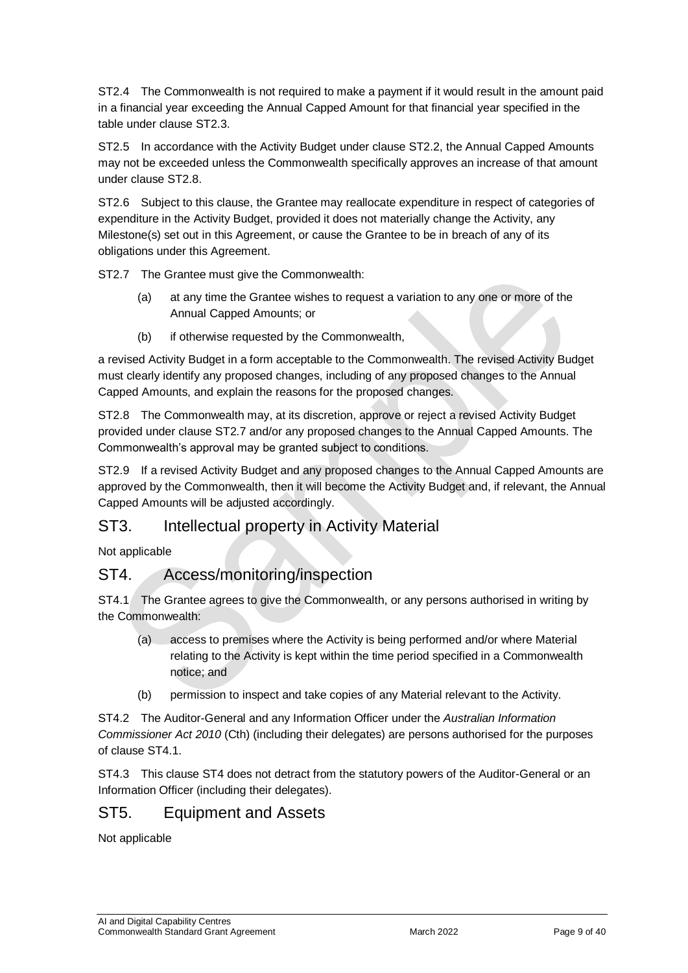ST2.4 The Commonwealth is not required to make a payment if it would result in the amount paid in a financial year exceeding the Annual Capped Amount for that financial year specified in the table under clause ST2.3.

ST2.5 In accordance with the Activity Budget under clause ST2.2, the Annual Capped Amounts may not be exceeded unless the Commonwealth specifically approves an increase of that amount under clause ST2.8.

ST2.6 Subject to this clause, the Grantee may reallocate expenditure in respect of categories of expenditure in the Activity Budget, provided it does not materially change the Activity, any Milestone(s) set out in this Agreement, or cause the Grantee to be in breach of any of its obligations under this Agreement.

ST2.7 The Grantee must give the Commonwealth:

- (a) at any time the Grantee wishes to request a variation to any one or more of the Annual Capped Amounts; or
- (b) if otherwise requested by the Commonwealth,

a revised Activity Budget in a form acceptable to the Commonwealth. The revised Activity Budget must clearly identify any proposed changes, including of any proposed changes to the Annual Capped Amounts, and explain the reasons for the proposed changes.

ST2.8 The Commonwealth may, at its discretion, approve or reject a revised Activity Budget provided under clause ST2.7 and/or any proposed changes to the Annual Capped Amounts. The Commonwealth's approval may be granted subject to conditions.

ST2.9 If a revised Activity Budget and any proposed changes to the Annual Capped Amounts are approved by the Commonwealth, then it will become the Activity Budget and, if relevant, the Annual Capped Amounts will be adjusted accordingly.

## ST3. Intellectual property in Activity Material

Not applicable

#### ST4. Access/monitoring/inspection

ST4.1 The Grantee agrees to give the Commonwealth, or any persons authorised in writing by the Commonwealth:

- (a) access to premises where the Activity is being performed and/or where Material relating to the Activity is kept within the time period specified in a Commonwealth notice; and
- (b) permission to inspect and take copies of any Material relevant to the Activity.

ST4.2 The Auditor-General and any Information Officer under the *Australian Information Commissioner Act 2010* (Cth) (including their delegates) are persons authorised for the purposes of clause ST4.1.

ST4.3 This clause ST4 does not detract from the statutory powers of the Auditor-General or an Information Officer (including their delegates).

#### ST5. Equipment and Assets

Not applicable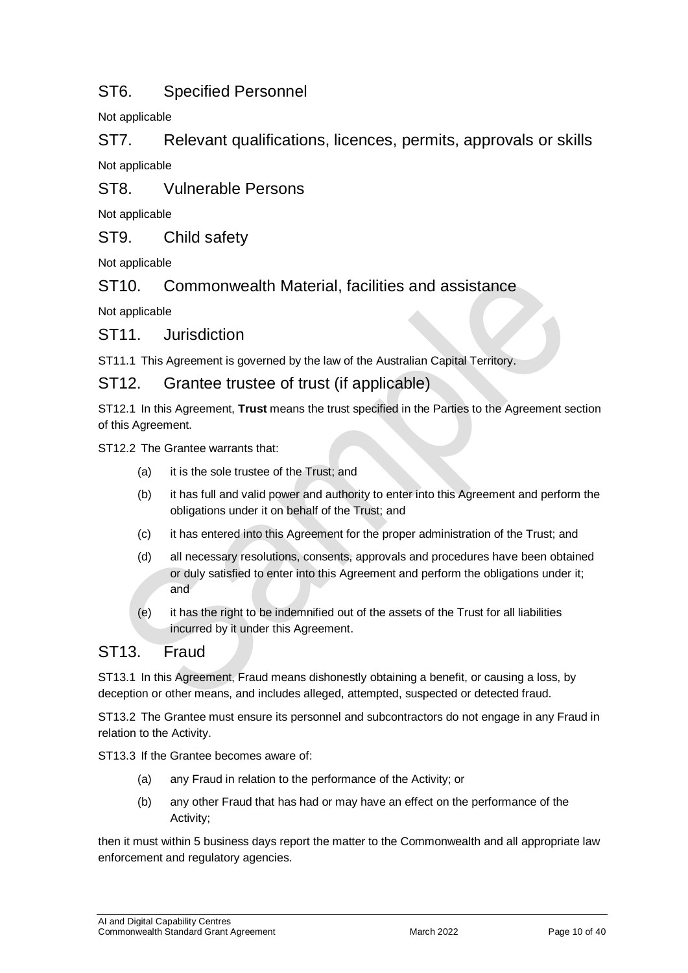## ST6. Specified Personnel

Not applicable

ST7. Relevant qualifications, licences, permits, approvals or skills Not applicable

ST8. Vulnerable Persons

Not applicable

ST9. Child safety

Not applicable

ST10. Commonwealth Material, facilities and assistance

Not applicable

ST11. Jurisdiction

ST11.1 This Agreement is governed by the law of the Australian Capital Territory.

#### ST12. Grantee trustee of trust (if applicable)

ST12.1 In this Agreement, **Trust** means the trust specified in the Parties to the Agreement section of this Agreement.

ST12.2 The Grantee warrants that:

- (a) it is the sole trustee of the Trust; and
- (b) it has full and valid power and authority to enter into this Agreement and perform the obligations under it on behalf of the Trust; and
- (c) it has entered into this Agreement for the proper administration of the Trust; and
- (d) all necessary resolutions, consents, approvals and procedures have been obtained or duly satisfied to enter into this Agreement and perform the obligations under it; and
- (e) it has the right to be indemnified out of the assets of the Trust for all liabilities incurred by it under this Agreement.

#### ST13. Fraud

ST13.1 In this Agreement, Fraud means dishonestly obtaining a benefit, or causing a loss, by deception or other means, and includes alleged, attempted, suspected or detected fraud.

ST13.2 The Grantee must ensure its personnel and subcontractors do not engage in any Fraud in relation to the Activity.

ST13.3 If the Grantee becomes aware of:

- (a) any Fraud in relation to the performance of the Activity; or
- (b) any other Fraud that has had or may have an effect on the performance of the Activity;

then it must within 5 business days report the matter to the Commonwealth and all appropriate law enforcement and regulatory agencies.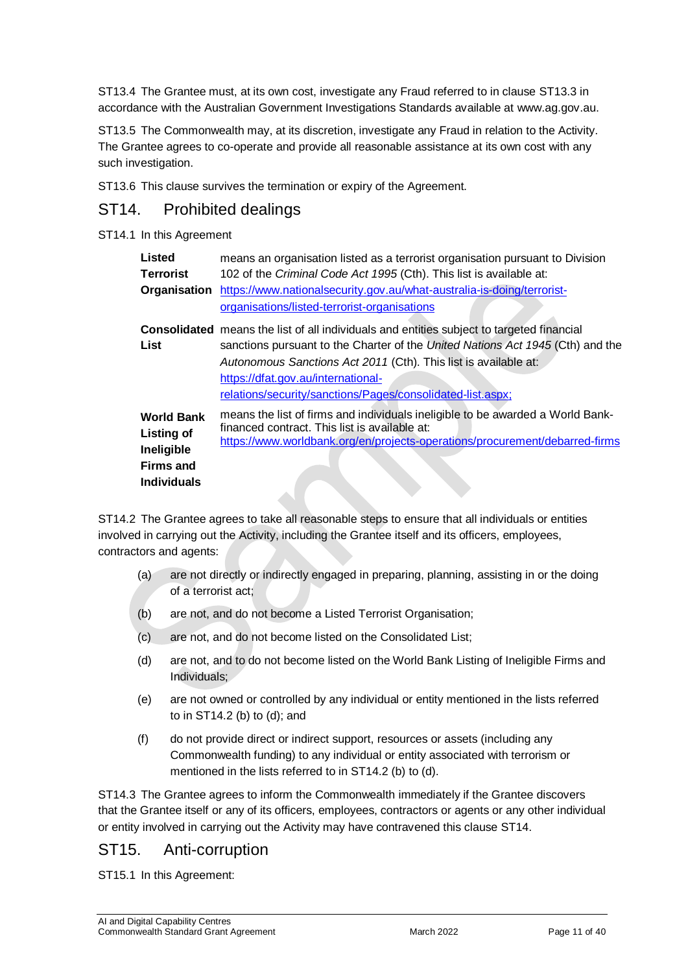ST13.4 The Grantee must, at its own cost, investigate any Fraud referred to in clause ST13.3 in accordance with the Australian Government Investigations Standards available at [www.ag.gov.au.](http://www.ag.gov.au/)

ST13.5 The Commonwealth may, at its discretion, investigate any Fraud in relation to the Activity. The Grantee agrees to co-operate and provide all reasonable assistance at its own cost with any such investigation.

ST13.6 This clause survives the termination or expiry of the Agreement.

#### ST14. Prohibited dealings

#### ST14.1 In this Agreement

| Listed                                                                                  | means an organisation listed as a terrorist organisation pursuant to Division                                                                                                                                                                                                                                                                             |
|-----------------------------------------------------------------------------------------|-----------------------------------------------------------------------------------------------------------------------------------------------------------------------------------------------------------------------------------------------------------------------------------------------------------------------------------------------------------|
| <b>Terrorist</b>                                                                        | 102 of the Criminal Code Act 1995 (Cth). This list is available at:                                                                                                                                                                                                                                                                                       |
| Organisation                                                                            | https://www.nationalsecurity.gov.au/what-australia-is-doing/terrorist-                                                                                                                                                                                                                                                                                    |
|                                                                                         | organisations/listed-terrorist-organisations                                                                                                                                                                                                                                                                                                              |
| List                                                                                    | <b>Consolidated</b> means the list of all individuals and entities subject to targeted financial<br>sanctions pursuant to the Charter of the United Nations Act 1945 (Cth) and the<br>Autonomous Sanctions Act 2011 (Cth). This list is available at:<br>https://dfat.gov.au/international-<br>relations/security/sanctions/Pages/consolidated-list.aspx; |
| <b>World Bank</b><br>Listing of<br>Ineligible<br><b>Firms and</b><br><b>Individuals</b> | means the list of firms and individuals ineligible to be awarded a World Bank-<br>financed contract. This list is available at:<br>https://www.worldbank.org/en/projects-operations/procurement/debarred-firms                                                                                                                                            |

ST14.2 The Grantee agrees to take all reasonable steps to ensure that all individuals or entities involved in carrying out the Activity, including the Grantee itself and its officers, employees, contractors and agents:

- (a) are not directly or indirectly engaged in preparing, planning, assisting in or the doing of a terrorist act;
- (b) are not, and do not become a Listed Terrorist Organisation;
- (c) are not, and do not become listed on the Consolidated List;
- (d) are not, and to do not become listed on the World Bank Listing of Ineligible Firms and Individuals;
- (e) are not owned or controlled by any individual or entity mentioned in the lists referred to in ST14.2 (b) to (d); and
- (f) do not provide direct or indirect support, resources or assets (including any Commonwealth funding) to any individual or entity associated with terrorism or mentioned in the lists referred to in ST14.2 (b) to (d).

ST14.3 The Grantee agrees to inform the Commonwealth immediately if the Grantee discovers that the Grantee itself or any of its officers, employees, contractors or agents or any other individual or entity involved in carrying out the Activity may have contravened this clause ST14.

#### ST15. Anti-corruption

ST15.1 In this Agreement: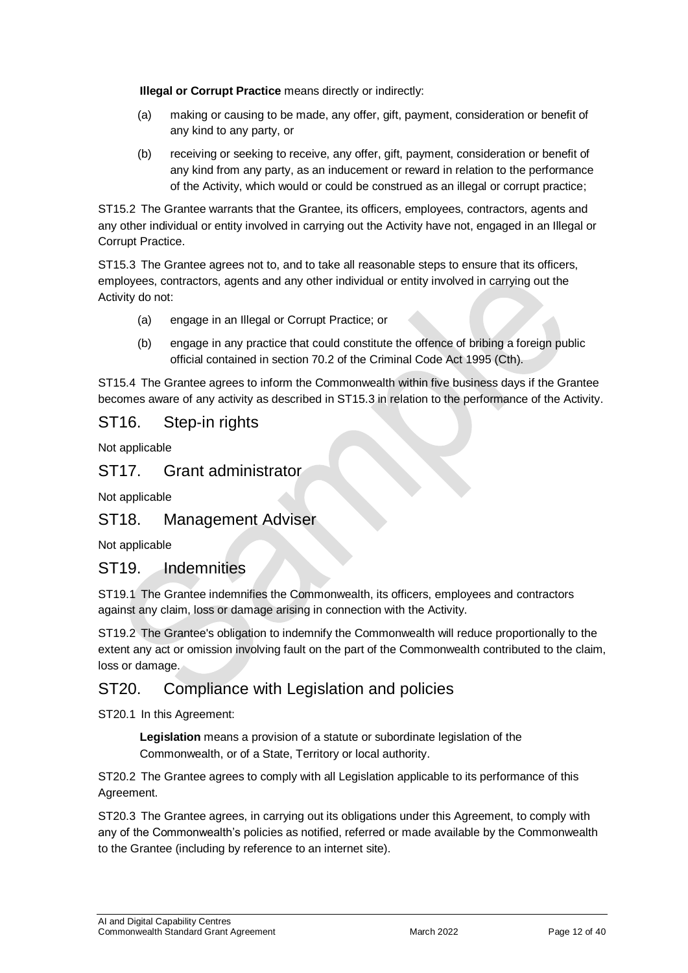**Illegal or Corrupt Practice** means directly or indirectly:

- (a) making or causing to be made, any offer, gift, payment, consideration or benefit of any kind to any party, or
- (b) receiving or seeking to receive, any offer, gift, payment, consideration or benefit of any kind from any party, as an inducement or reward in relation to the performance of the Activity, which would or could be construed as an illegal or corrupt practice;

ST15.2 The Grantee warrants that the Grantee, its officers, employees, contractors, agents and any other individual or entity involved in carrying out the Activity have not, engaged in an Illegal or Corrupt Practice.

ST15.3 The Grantee agrees not to, and to take all reasonable steps to ensure that its officers, employees, contractors, agents and any other individual or entity involved in carrying out the Activity do not:

- (a) engage in an Illegal or Corrupt Practice; or
- (b) engage in any practice that could constitute the offence of bribing a foreign public official contained in section 70.2 of the Criminal Code Act 1995 (Cth).

ST15.4 The Grantee agrees to inform the Commonwealth within five business days if the Grantee becomes aware of any activity as described in ST15.3 in relation to the performance of the Activity.

#### ST<sub>16</sub>. Step-in rights

Not applicable

#### ST17. Grant administrator

Not applicable

#### ST18. Management Adviser

Not applicable

#### ST19. Indemnities

ST19.1 The Grantee indemnifies the Commonwealth, its officers, employees and contractors against any claim, loss or damage arising in connection with the Activity.

ST19.2 The Grantee's obligation to indemnify the Commonwealth will reduce proportionally to the extent any act or omission involving fault on the part of the Commonwealth contributed to the claim, loss or damage.

#### ST20. Compliance with Legislation and policies

ST20.1 In this Agreement:

**Legislation** means a provision of a statute or subordinate legislation of the Commonwealth, or of a State, Territory or local authority.

ST20.2 The Grantee agrees to comply with all Legislation applicable to its performance of this Agreement.

ST20.3 The Grantee agrees, in carrying out its obligations under this Agreement, to comply with any of the Commonwealth's policies as notified, referred or made available by the Commonwealth to the Grantee (including by reference to an internet site).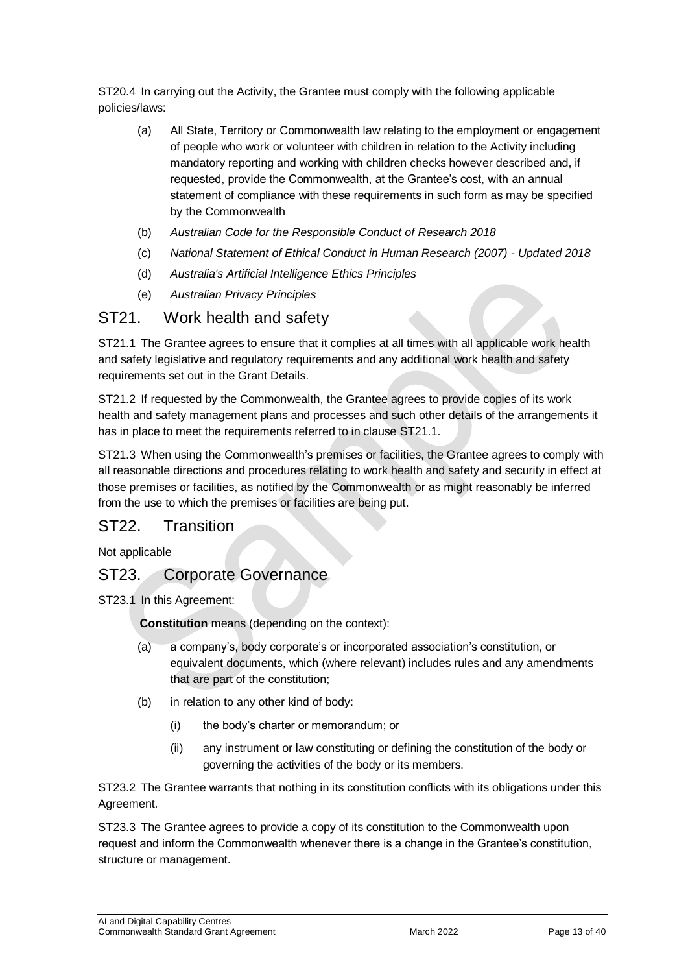ST20.4 In carrying out the Activity, the Grantee must comply with the following applicable policies/laws:

- (a) All State, Territory or Commonwealth law relating to the employment or engagement of people who work or volunteer with children in relation to the Activity including mandatory reporting and working with children checks however described and, if requested, provide the Commonwealth, at the Grantee's cost, with an annual statement of compliance with these requirements in such form as may be specified by the Commonwealth
- (b) *[Australian Code for the Responsible Conduct of Research 2018](https://www.nhmrc.gov.au/about-us/publications/australian-code-responsible-conduct-research-2018)*
- (c) *[National Statement of Ethical Conduct in Human Research \(2007\) -](https://www.nhmrc.gov.au/about-us/publications/national-statement-ethical-conduct-human-research-2007-updated-2018) Updated 2018*
- (d) *[Australia's Artificial Intelligence Ethics Principles](https://www.industry.gov.au/data-and-publications/australias-artificial-intelligence-ethics-framework/australias-ai-ethics-principles)*
- (e) *Australian Privacy Principles*

#### ST21. Work health and safety

ST21.1 The Grantee agrees to ensure that it complies at all times with all applicable work health and safety legislative and regulatory requirements and any additional work health and safety requirements set out in the Grant Details.

ST21.2 If requested by the Commonwealth, the Grantee agrees to provide copies of its work health and safety management plans and processes and such other details of the arrangements it has in place to meet the requirements referred to in clause ST21.1.

ST21.3 When using the Commonwealth's premises or facilities, the Grantee agrees to comply with all reasonable directions and procedures relating to work health and safety and security in effect at those premises or facilities, as notified by the Commonwealth or as might reasonably be inferred from the use to which the premises or facilities are being put.

#### ST22. Transition

Not applicable

#### ST23. Corporate Governance

ST23.1 In this Agreement:

**Constitution** means (depending on the context):

- (a) a company's, body corporate's or incorporated association's constitution, or equivalent documents, which (where relevant) includes rules and any amendments that are part of the constitution;
- (b) in relation to any other kind of body:
	- (i) the body's charter or memorandum; or
	- (ii) any instrument or law constituting or defining the constitution of the body or governing the activities of the body or its members.

ST23.2 The Grantee warrants that nothing in its constitution conflicts with its obligations under this Agreement.

ST23.3 The Grantee agrees to provide a copy of its constitution to the Commonwealth upon request and inform the Commonwealth whenever there is a change in the Grantee's constitution, structure or management.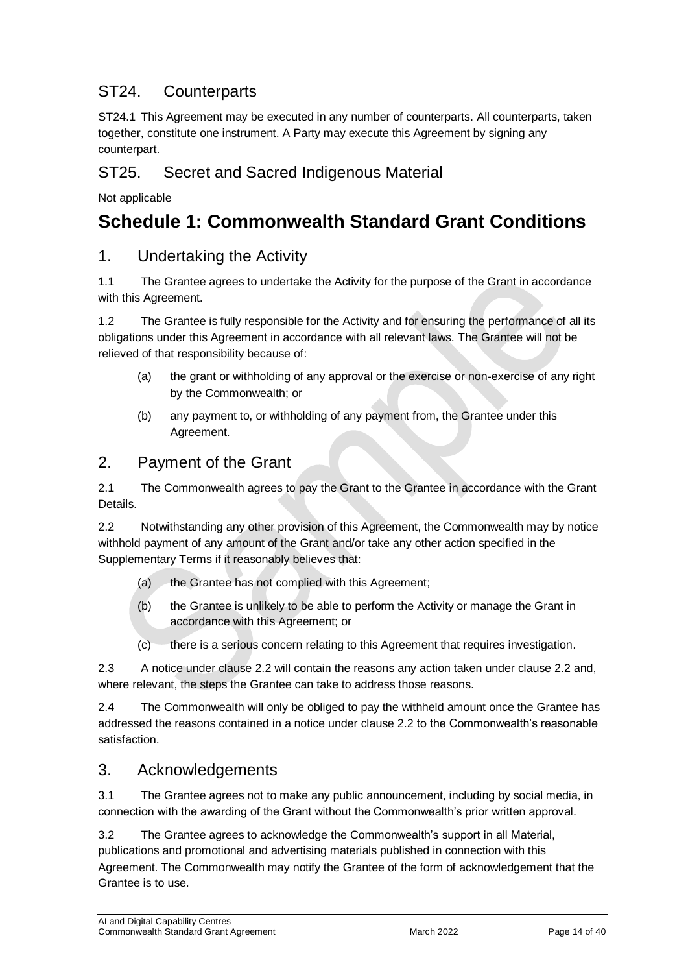## ST24. Counterparts

ST24.1 This Agreement may be executed in any number of counterparts. All counterparts, taken together, constitute one instrument. A Party may execute this Agreement by signing any counterpart.

### ST25. Secret and Sacred Indigenous Material

Not applicable

## <span id="page-13-0"></span>**Schedule 1: Commonwealth Standard Grant Conditions**

#### 1. Undertaking the Activity

1.1 The Grantee agrees to undertake the Activity for the purpose of the Grant in accordance with this Agreement.

1.2 The Grantee is fully responsible for the Activity and for ensuring the performance of all its obligations under this Agreement in accordance with all relevant laws. The Grantee will not be relieved of that responsibility because of:

- (a) the grant or withholding of any approval or the exercise or non‐exercise of any right by the Commonwealth; or
- (b) any payment to, or withholding of any payment from, the Grantee under this Agreement.

### 2. Payment of the Grant

2.1 The Commonwealth agrees to pay the Grant to the Grantee in accordance with the Grant **Details** 

2.2 Notwithstanding any other provision of this Agreement, the Commonwealth may by notice withhold payment of any amount of the Grant and/or take any other action specified in the Supplementary Terms if it reasonably believes that:

- (a) the Grantee has not complied with this Agreement;
- (b) the Grantee is unlikely to be able to perform the Activity or manage the Grant in accordance with this Agreement; or
- (c) there is a serious concern relating to this Agreement that requires investigation.

2.3 A notice under clause 2.2 will contain the reasons any action taken under clause 2.2 and, where relevant, the steps the Grantee can take to address those reasons.

2.4 The Commonwealth will only be obliged to pay the withheld amount once the Grantee has addressed the reasons contained in a notice under clause 2.2 to the Commonwealth's reasonable satisfaction.

## 3. Acknowledgements

3.1 The Grantee agrees not to make any public announcement, including by social media, in connection with the awarding of the Grant without the Commonwealth's prior written approval.

3.2 The Grantee agrees to acknowledge the Commonwealth's support in all Material, publications and promotional and advertising materials published in connection with this Agreement. The Commonwealth may notify the Grantee of the form of acknowledgement that the Grantee is to use.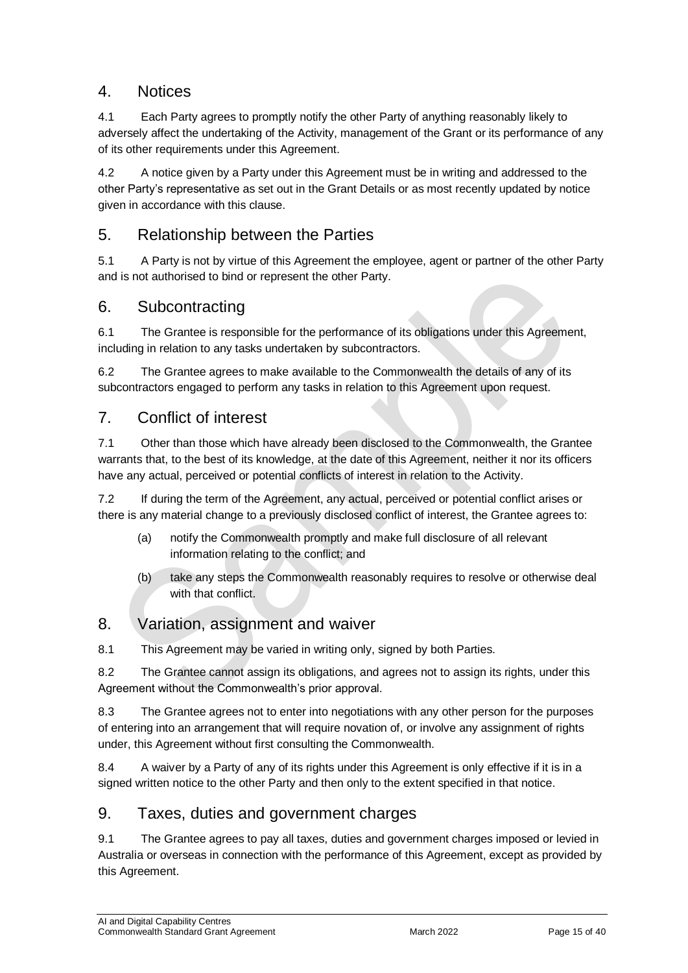## 4. Notices

4.1 Each Party agrees to promptly notify the other Party of anything reasonably likely to adversely affect the undertaking of the Activity, management of the Grant or its performance of any of its other requirements under this Agreement.

4.2 A notice given by a Party under this Agreement must be in writing and addressed to the other Party's representative as set out in the Grant Details or as most recently updated by notice given in accordance with this clause.

## 5. Relationship between the Parties

5.1 A Party is not by virtue of this Agreement the employee, agent or partner of the other Party and is not authorised to bind or represent the other Party.

### 6. Subcontracting

6.1 The Grantee is responsible for the performance of its obligations under this Agreement, including in relation to any tasks undertaken by subcontractors.

6.2 The Grantee agrees to make available to the Commonwealth the details of any of its subcontractors engaged to perform any tasks in relation to this Agreement upon request.

### 7. Conflict of interest

7.1 Other than those which have already been disclosed to the Commonwealth, the Grantee warrants that, to the best of its knowledge, at the date of this Agreement, neither it nor its officers have any actual, perceived or potential conflicts of interest in relation to the Activity.

7.2 If during the term of the Agreement, any actual, perceived or potential conflict arises or there is any material change to a previously disclosed conflict of interest, the Grantee agrees to:

- (a) notify the Commonwealth promptly and make full disclosure of all relevant information relating to the conflict; and
- (b) take any steps the Commonwealth reasonably requires to resolve or otherwise deal with that conflict.

## 8. Variation, assignment and waiver

8.1 This Agreement may be varied in writing only, signed by both Parties.

8.2 The Grantee cannot assign its obligations, and agrees not to assign its rights, under this Agreement without the Commonwealth's prior approval.

8.3 The Grantee agrees not to enter into negotiations with any other person for the purposes of entering into an arrangement that will require novation of, or involve any assignment of rights under, this Agreement without first consulting the Commonwealth.

8.4 A waiver by a Party of any of its rights under this Agreement is only effective if it is in a signed written notice to the other Party and then only to the extent specified in that notice.

#### 9. Taxes, duties and government charges

9.1 The Grantee agrees to pay all taxes, duties and government charges imposed or levied in Australia or overseas in connection with the performance of this Agreement, except as provided by this Agreement.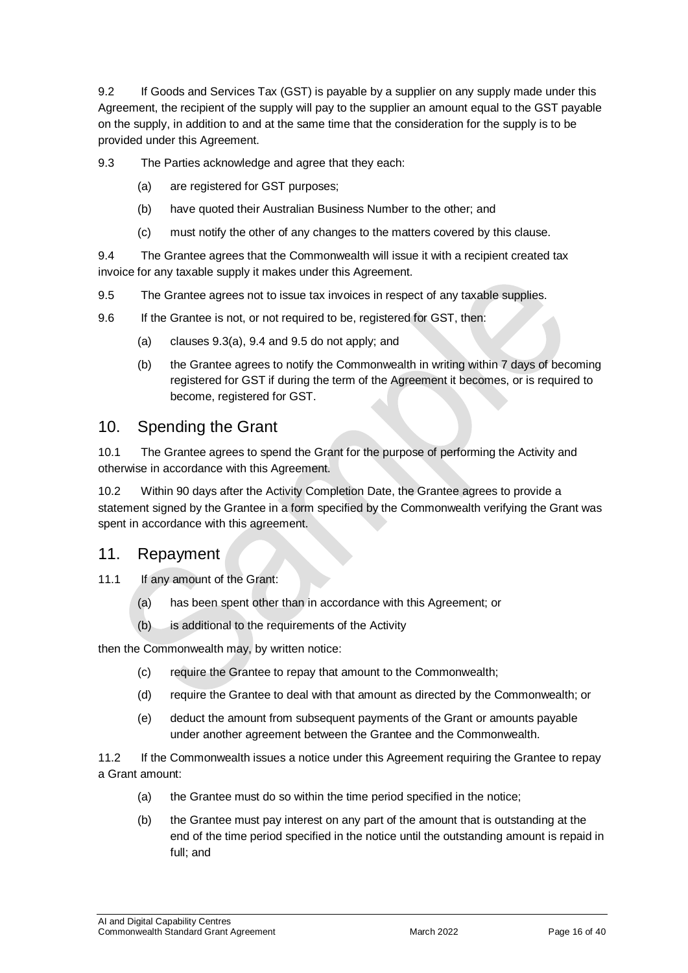9.2 If Goods and Services Tax (GST) is payable by a supplier on any supply made under this Agreement, the recipient of the supply will pay to the supplier an amount equal to the GST payable on the supply, in addition to and at the same time that the consideration for the supply is to be provided under this Agreement.

9.3 The Parties acknowledge and agree that they each:

- (a) are registered for GST purposes;
- (b) have quoted their Australian Business Number to the other; and
- (c) must notify the other of any changes to the matters covered by this clause.

9.4 The Grantee agrees that the Commonwealth will issue it with a recipient created tax invoice for any taxable supply it makes under this Agreement.

- 9.5 The Grantee agrees not to issue tax invoices in respect of any taxable supplies.
- 9.6 If the Grantee is not, or not required to be, registered for GST, then:
	- (a) clauses 9.3(a), 9.4 and 9.5 do not apply; and
	- (b) the Grantee agrees to notify the Commonwealth in writing within 7 days of becoming registered for GST if during the term of the Agreement it becomes, or is required to become, registered for GST.

#### 10. Spending the Grant

10.1 The Grantee agrees to spend the Grant for the purpose of performing the Activity and otherwise in accordance with this Agreement.

10.2 Within 90 days after the Activity Completion Date, the Grantee agrees to provide a statement signed by the Grantee in a form specified by the Commonwealth verifying the Grant was spent in accordance with this agreement.

#### 11. Repayment

- 11.1 If any amount of the Grant:
	- (a) has been spent other than in accordance with this Agreement; or
	- (b) is additional to the requirements of the Activity

then the Commonwealth may, by written notice:

- (c) require the Grantee to repay that amount to the Commonwealth;
- (d) require the Grantee to deal with that amount as directed by the Commonwealth; or
- (e) deduct the amount from subsequent payments of the Grant or amounts payable under another agreement between the Grantee and the Commonwealth.

11.2 If the Commonwealth issues a notice under this Agreement requiring the Grantee to repay a Grant amount:

- (a) the Grantee must do so within the time period specified in the notice;
- (b) the Grantee must pay interest on any part of the amount that is outstanding at the end of the time period specified in the notice until the outstanding amount is repaid in full; and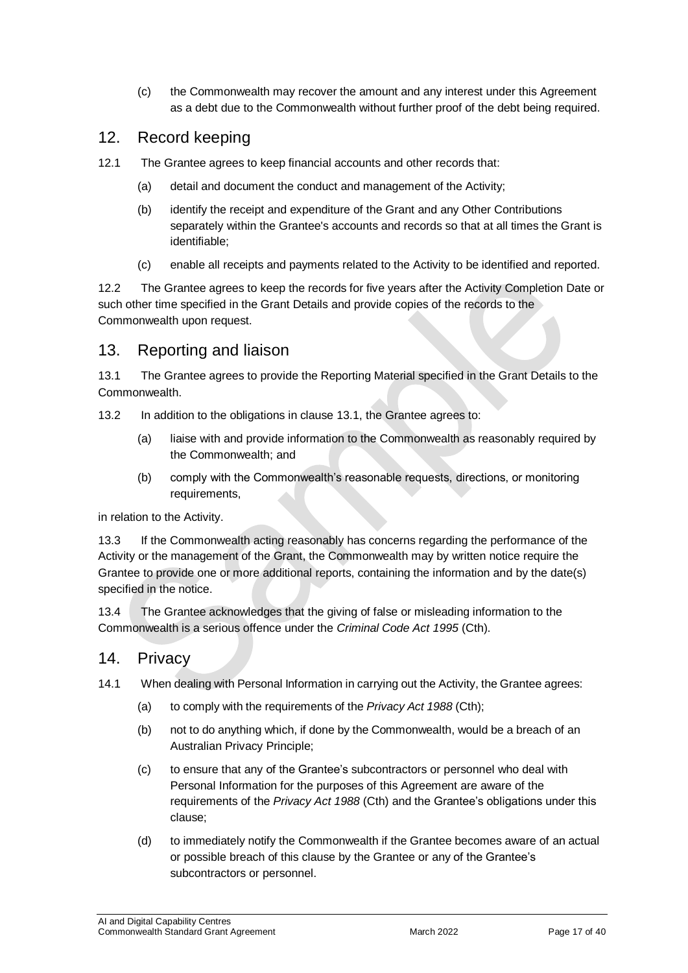(c) the Commonwealth may recover the amount and any interest under this Agreement as a debt due to the Commonwealth without further proof of the debt being required.

### 12. Record keeping

- 12.1 The Grantee agrees to keep financial accounts and other records that:
	- (a) detail and document the conduct and management of the Activity;
	- (b) identify the receipt and expenditure of the Grant and any Other Contributions separately within the Grantee's accounts and records so that at all times the Grant is identifiable;
	- (c) enable all receipts and payments related to the Activity to be identified and reported.

12.2 The Grantee agrees to keep the records for five years after the Activity Completion Date or such other time specified in the Grant Details and provide copies of the records to the Commonwealth upon request.

## 13. Reporting and liaison

13.1 The Grantee agrees to provide the Reporting Material specified in the Grant Details to the Commonwealth.

- 13.2 In addition to the obligations in clause 13.1, the Grantee agrees to:
	- (a) liaise with and provide information to the Commonwealth as reasonably required by the Commonwealth; and
	- (b) comply with the Commonwealth's reasonable requests, directions, or monitoring requirements,

in relation to the Activity.

13.3 If the Commonwealth acting reasonably has concerns regarding the performance of the Activity or the management of the Grant, the Commonwealth may by written notice require the Grantee to provide one or more additional reports, containing the information and by the date(s) specified in the notice.

13.4 The Grantee acknowledges that the giving of false or misleading information to the Commonwealth is a serious offence under the *Criminal Code Act 1995* (Cth).

#### 14. Privacy

- 14.1 When dealing with Personal Information in carrying out the Activity, the Grantee agrees:
	- (a) to comply with the requirements of the *Privacy Act 1988* (Cth);
	- (b) not to do anything which, if done by the Commonwealth, would be a breach of an Australian Privacy Principle;
	- (c) to ensure that any of the Grantee's subcontractors or personnel who deal with Personal Information for the purposes of this Agreement are aware of the requirements of the *Privacy Act 1988* (Cth) and the Grantee's obligations under this clause;
	- (d) to immediately notify the Commonwealth if the Grantee becomes aware of an actual or possible breach of this clause by the Grantee or any of the Grantee's subcontractors or personnel.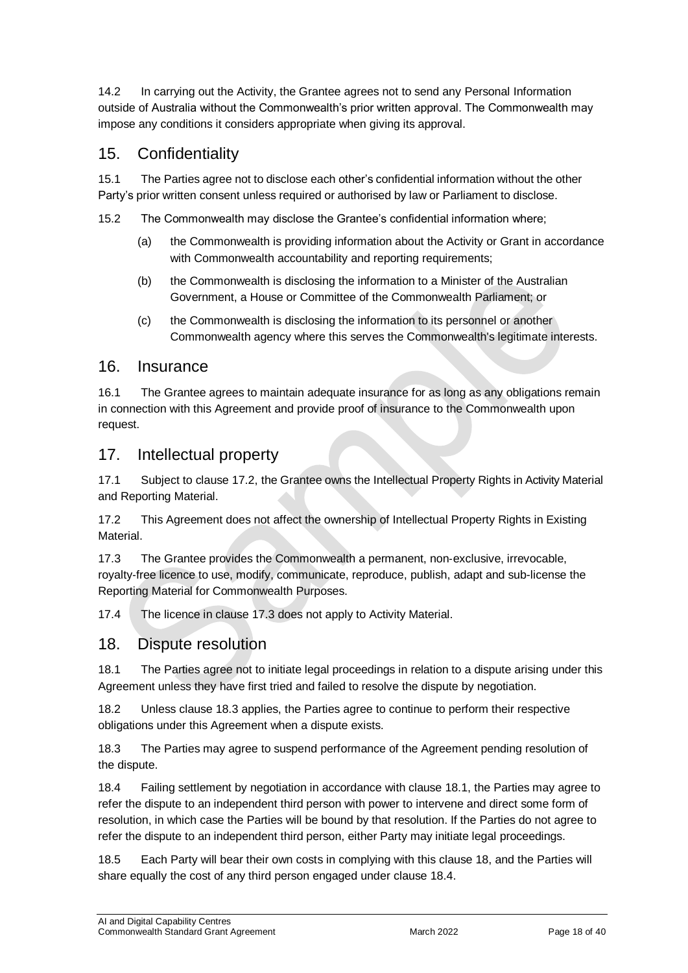14.2 In carrying out the Activity, the Grantee agrees not to send any Personal Information outside of Australia without the Commonwealth's prior written approval. The Commonwealth may impose any conditions it considers appropriate when giving its approval.

## 15. Confidentiality

15.1 The Parties agree not to disclose each other's confidential information without the other Party's prior written consent unless required or authorised by law or Parliament to disclose.

15.2 The Commonwealth may disclose the Grantee's confidential information where;

- (a) the Commonwealth is providing information about the Activity or Grant in accordance with Commonwealth accountability and reporting requirements;
- (b) the Commonwealth is disclosing the information to a Minister of the Australian Government, a House or Committee of the Commonwealth Parliament; or
- (c) the Commonwealth is disclosing the information to its personnel or another Commonwealth agency where this serves the Commonwealth's legitimate interests.

#### 16. Insurance

16.1 The Grantee agrees to maintain adequate insurance for as long as any obligations remain in connection with this Agreement and provide proof of insurance to the Commonwealth upon request.

#### 17. Intellectual property

17.1 Subject to clause 17.2, the Grantee owns the Intellectual Property Rights in Activity Material and Reporting Material.

17.2 This Agreement does not affect the ownership of Intellectual Property Rights in Existing Material.

17.3 The Grantee provides the Commonwealth a permanent, non-exclusive, irrevocable, royalty‐free licence to use, modify, communicate, reproduce, publish, adapt and sub-license the Reporting Material for Commonwealth Purposes.

17.4 The licence in clause 17.3 does not apply to Activity Material.

#### 18. Dispute resolution

18.1 The Parties agree not to initiate legal proceedings in relation to a dispute arising under this Agreement unless they have first tried and failed to resolve the dispute by negotiation.

18.2 Unless clause 18.3 applies, the Parties agree to continue to perform their respective obligations under this Agreement when a dispute exists.

18.3 The Parties may agree to suspend performance of the Agreement pending resolution of the dispute.

18.4 Failing settlement by negotiation in accordance with clause 18.1, the Parties may agree to refer the dispute to an independent third person with power to intervene and direct some form of resolution, in which case the Parties will be bound by that resolution. If the Parties do not agree to refer the dispute to an independent third person, either Party may initiate legal proceedings.

18.5 Each Party will bear their own costs in complying with this clause 18, and the Parties will share equally the cost of any third person engaged under clause 18.4.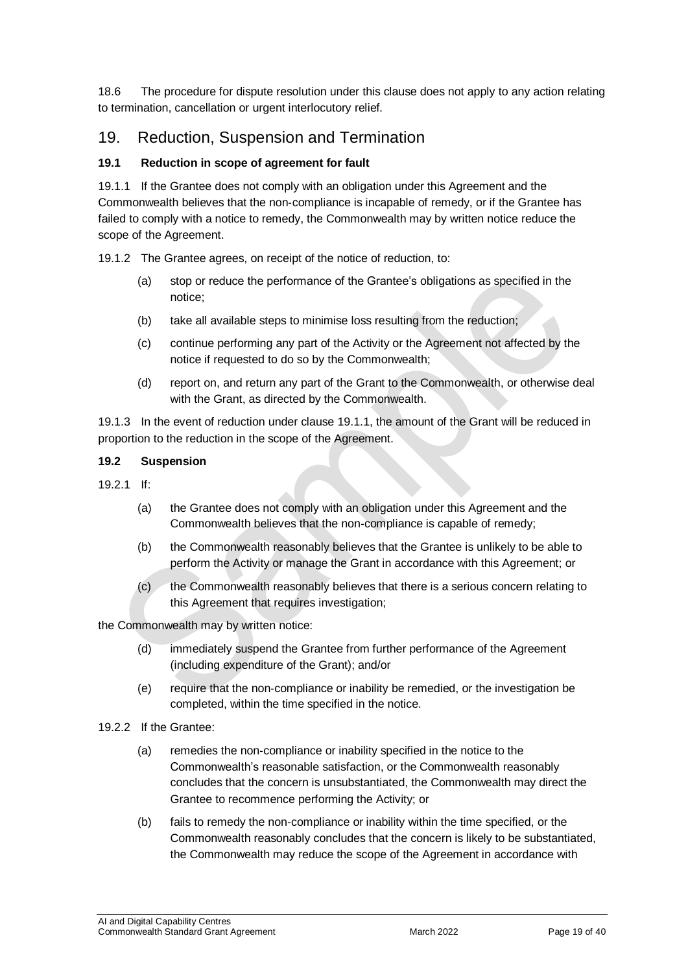18.6 The procedure for dispute resolution under this clause does not apply to any action relating to termination, cancellation or urgent interlocutory relief.

### 19. Reduction, Suspension and Termination

#### **19.1 Reduction in scope of agreement for fault**

19.1.1 If the Grantee does not comply with an obligation under this Agreement and the Commonwealth believes that the non‐compliance is incapable of remedy, or if the Grantee has failed to comply with a notice to remedy, the Commonwealth may by written notice reduce the scope of the Agreement.

19.1.2 The Grantee agrees, on receipt of the notice of reduction, to:

- (a) stop or reduce the performance of the Grantee's obligations as specified in the notice;
- (b) take all available steps to minimise loss resulting from the reduction;
- (c) continue performing any part of the Activity or the Agreement not affected by the notice if requested to do so by the Commonwealth;
- (d) report on, and return any part of the Grant to the Commonwealth, or otherwise deal with the Grant, as directed by the Commonwealth.

19.1.3 In the event of reduction under clause 19.1.1, the amount of the Grant will be reduced in proportion to the reduction in the scope of the Agreement.

#### **19.2 Suspension**

- $19.21$  If:
	- (a) the Grantee does not comply with an obligation under this Agreement and the Commonwealth believes that the non‐compliance is capable of remedy;
	- (b) the Commonwealth reasonably believes that the Grantee is unlikely to be able to perform the Activity or manage the Grant in accordance with this Agreement; or
	- (c) the Commonwealth reasonably believes that there is a serious concern relating to this Agreement that requires investigation;

the Commonwealth may by written notice:

- (d) immediately suspend the Grantee from further performance of the Agreement (including expenditure of the Grant); and/or
- (e) require that the non‐compliance or inability be remedied, or the investigation be completed, within the time specified in the notice.
- 19.2.2 If the Grantee:
	- (a) remedies the non‐compliance or inability specified in the notice to the Commonwealth's reasonable satisfaction, or the Commonwealth reasonably concludes that the concern is unsubstantiated, the Commonwealth may direct the Grantee to recommence performing the Activity; or
	- (b) fails to remedy the non‐compliance or inability within the time specified, or the Commonwealth reasonably concludes that the concern is likely to be substantiated, the Commonwealth may reduce the scope of the Agreement in accordance with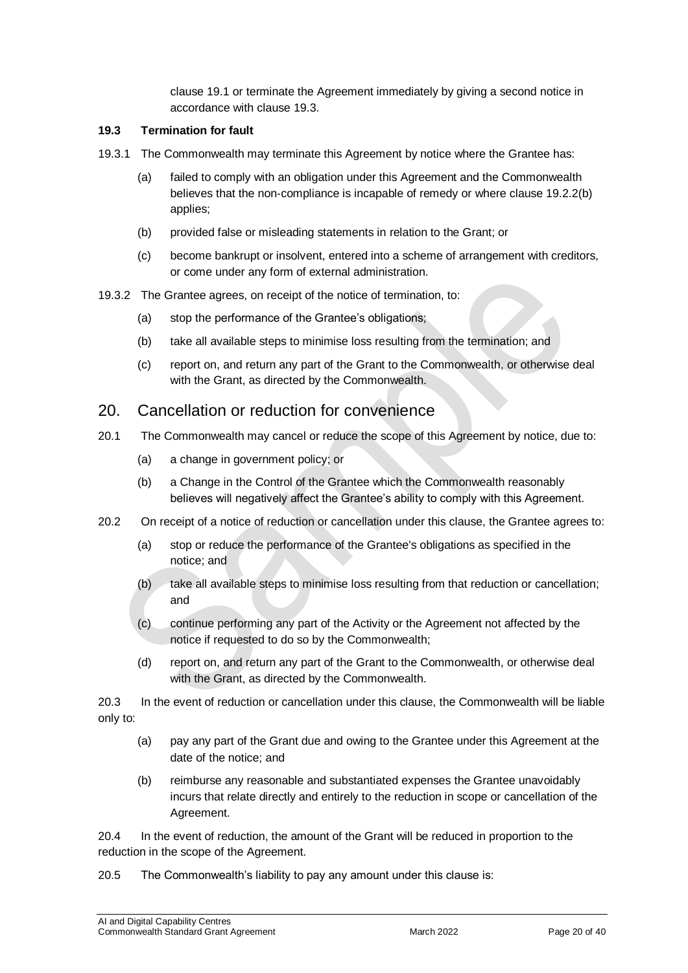clause 19.1 or terminate the Agreement immediately by giving a second notice in accordance with clause 19.3.

#### **19.3 Termination for fault**

- 19.3.1 The Commonwealth may terminate this Agreement by notice where the Grantee has:
	- (a) failed to comply with an obligation under this Agreement and the Commonwealth believes that the non-compliance is incapable of remedy or where clause 19.2.2(b) applies;
	- (b) provided false or misleading statements in relation to the Grant; or
	- (c) become bankrupt or insolvent, entered into a scheme of arrangement with creditors, or come under any form of external administration.
- 19.3.2 The Grantee agrees, on receipt of the notice of termination, to:
	- (a) stop the performance of the Grantee's obligations;
	- (b) take all available steps to minimise loss resulting from the termination; and
	- (c) report on, and return any part of the Grant to the Commonwealth, or otherwise deal with the Grant, as directed by the Commonwealth.

#### 20. Cancellation or reduction for convenience

- 20.1 The Commonwealth may cancel or reduce the scope of this Agreement by notice, due to:
	- (a) a change in government policy; or
	- (b) a Change in the Control of the Grantee which the Commonwealth reasonably believes will negatively affect the Grantee's ability to comply with this Agreement.
- 20.2 On receipt of a notice of reduction or cancellation under this clause, the Grantee agrees to:
	- (a) stop or reduce the performance of the Grantee's obligations as specified in the notice; and
	- (b) take all available steps to minimise loss resulting from that reduction or cancellation; and
	- (c) continue performing any part of the Activity or the Agreement not affected by the notice if requested to do so by the Commonwealth;
	- (d) report on, and return any part of the Grant to the Commonwealth, or otherwise deal with the Grant, as directed by the Commonwealth.

20.3 In the event of reduction or cancellation under this clause, the Commonwealth will be liable only to:

- (a) pay any part of the Grant due and owing to the Grantee under this Agreement at the date of the notice; and
- (b) reimburse any reasonable and substantiated expenses the Grantee unavoidably incurs that relate directly and entirely to the reduction in scope or cancellation of the Agreement.

20.4 In the event of reduction, the amount of the Grant will be reduced in proportion to the reduction in the scope of the Agreement.

20.5 The Commonwealth's liability to pay any amount under this clause is: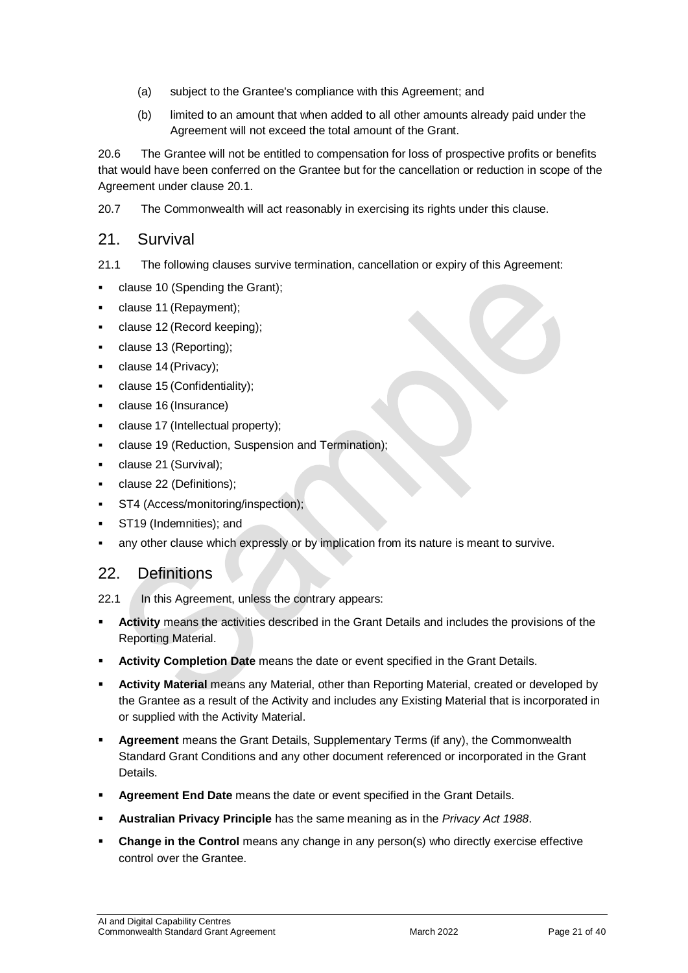- (a) subject to the Grantee's compliance with this Agreement; and
- (b) limited to an amount that when added to all other amounts already paid under the Agreement will not exceed the total amount of the Grant.

20.6 The Grantee will not be entitled to compensation for loss of prospective profits or benefits that would have been conferred on the Grantee but for the cancellation or reduction in scope of the Agreement under clause 20.1.

20.7 The Commonwealth will act reasonably in exercising its rights under this clause.

#### 21. Survival

- 21.1 The following clauses survive termination, cancellation or expiry of this Agreement:
- clause 10 (Spending the Grant);
- clause 11 (Repayment);
- clause 12 (Record keeping);
- clause 13 (Reporting);
- clause 14 (Privacy);
- clause 15 (Confidentiality);
- clause 16 (Insurance)
- clause 17 (Intellectual property);
- clause 19 (Reduction, Suspension and Termination);
- clause 21 (Survival);
- clause 22 (Definitions);
- ST4 (Access/monitoring/inspection);
- ST19 (Indemnities); and
- any other clause which expressly or by implication from its nature is meant to survive.

#### 22. Definitions

- **Activity** means the activities described in the Grant Details and includes the provisions of the Reporting Material.
- **Activity Completion Date** means the date or event specified in the Grant Details.
- **Activity Material** means any Material, other than Reporting Material, created or developed by the Grantee as a result of the Activity and includes any Existing Material that is incorporated in or supplied with the Activity Material.
- **Agreement** means the Grant Details, Supplementary Terms (if any), the Commonwealth Standard Grant Conditions and any other document referenced or incorporated in the Grant Details.
- **Agreement End Date** means the date or event specified in the Grant Details.
- **Australian Privacy Principle** has the same meaning as in the *Privacy Act 1988*.
- **Change in the Control** means any change in any person(s) who directly exercise effective control over the Grantee.

<sup>22.1</sup> In this Agreement, unless the contrary appears: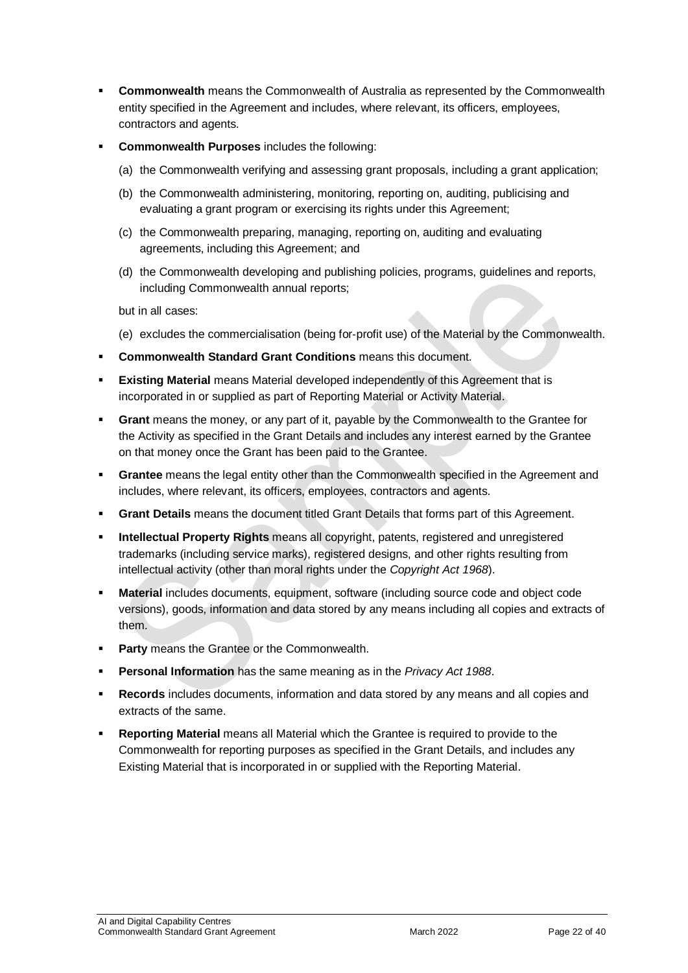- **Commonwealth** means the Commonwealth of Australia as represented by the Commonwealth entity specified in the Agreement and includes, where relevant, its officers, employees, contractors and agents.
- **Commonwealth Purposes** includes the following:
	- (a) the Commonwealth verifying and assessing grant proposals, including a grant application;
	- (b) the Commonwealth administering, monitoring, reporting on, auditing, publicising and evaluating a grant program or exercising its rights under this Agreement;
	- (c) the Commonwealth preparing, managing, reporting on, auditing and evaluating agreements, including this Agreement; and
	- (d) the Commonwealth developing and publishing policies, programs, guidelines and reports, including Commonwealth annual reports;

but in all cases:

- (e) excludes the commercialisation (being for‐profit use) of the Material by the Commonwealth.
- **Commonwealth Standard Grant Conditions** means this document.
- **Existing Material** means Material developed independently of this Agreement that is incorporated in or supplied as part of Reporting Material or Activity Material.
- **Grant** means the money, or any part of it, payable by the Commonwealth to the Grantee for the Activity as specified in the Grant Details and includes any interest earned by the Grantee on that money once the Grant has been paid to the Grantee.
- **Grantee** means the legal entity other than the Commonwealth specified in the Agreement and includes, where relevant, its officers, employees, contractors and agents.
- **Grant Details** means the document titled Grant Details that forms part of this Agreement.
- **Intellectual Property Rights** means all copyright, patents, registered and unregistered trademarks (including service marks), registered designs, and other rights resulting from intellectual activity (other than moral rights under the *Copyright Act 1968*).
- **Material** includes documents, equipment, software (including source code and object code versions), goods, information and data stored by any means including all copies and extracts of them.
- **Party** means the Grantee or the Commonwealth.
- **Personal Information** has the same meaning as in the *Privacy Act 1988*.
- **Records** includes documents, information and data stored by any means and all copies and extracts of the same.
- **Reporting Material** means all Material which the Grantee is required to provide to the Commonwealth for reporting purposes as specified in the Grant Details, and includes any Existing Material that is incorporated in or supplied with the Reporting Material.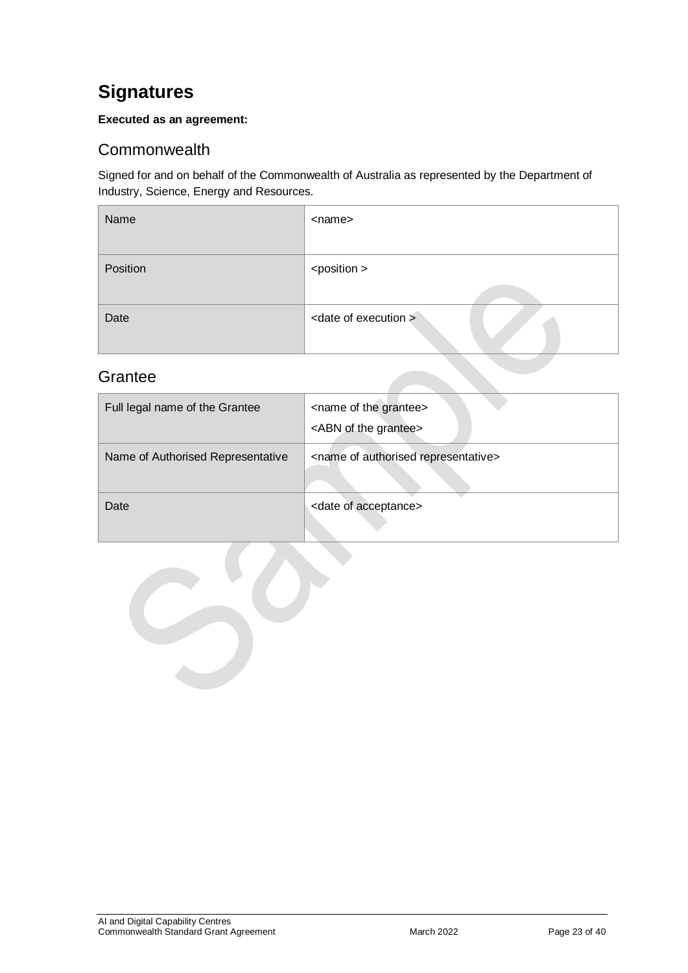## <span id="page-22-0"></span>**Signatures**

#### **Executed as an agreement:**

## <span id="page-22-1"></span>**Commonwealth**

Signed for and on behalf of the Commonwealth of Australia as represented by the Department of Industry, Science, Energy and Resources.

| Name     | <name></name>                    |
|----------|----------------------------------|
| Position | <position></position>            |
| Date     | <date execution="" of=""></date> |

## <span id="page-22-2"></span>**Grantee**

| Full legal name of the Grantee    | <name grantee="" of="" the=""><br/><abn grantee="" of="" the=""></abn></name> |
|-----------------------------------|-------------------------------------------------------------------------------|
| Name of Authorised Representative | <name authorised="" of="" representative=""></name>                           |
| Date                              | <date acceptance="" of=""></date>                                             |

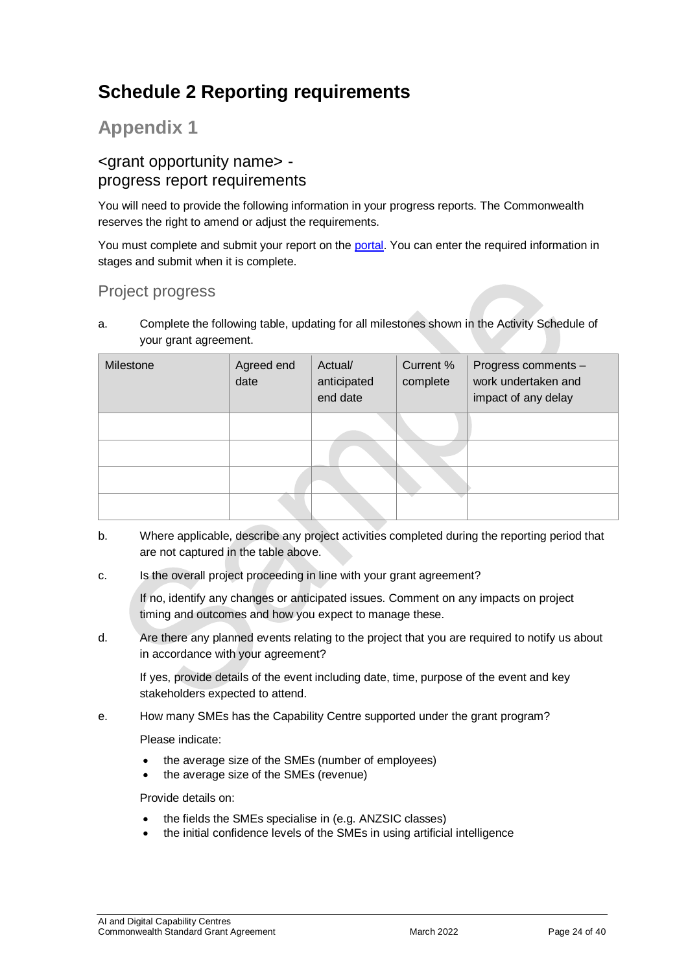## <span id="page-23-0"></span>**Schedule 2 Reporting requirements**

## **Appendix 1**

### <grant opportunity name> progress report requirements

You will need to provide the following information in your progress reports. The Commonwealth reserves the right to amend or adjust the requirements.

You must complete and submit your report on the [portal.](https://portal.business.gov.au/) You can enter the required information in stages and submit when it is complete.

### Project progress

a. Complete the following table, updating for all milestones shown in the Activity Schedule of your grant agreement.

| Milestone | Agreed end<br>date | Actual/<br>anticipated<br>end date | Current %<br>complete | Progress comments -<br>work undertaken and<br>impact of any delay |
|-----------|--------------------|------------------------------------|-----------------------|-------------------------------------------------------------------|
|           |                    |                                    |                       |                                                                   |
|           |                    |                                    |                       |                                                                   |
|           |                    |                                    |                       |                                                                   |

- b. Where applicable, describe any project activities completed during the reporting period that are not captured in the table above.
- c. Is the overall project proceeding in line with your grant agreement?

If no, identify any changes or anticipated issues. Comment on any impacts on project timing and outcomes and how you expect to manage these.

d. Are there any planned events relating to the project that you are required to notify us about in accordance with your agreement?

If yes, provide details of the event including date, time, purpose of the event and key stakeholders expected to attend.

e. How many SMEs has the Capability Centre supported under the grant program?

Please indicate:

- the average size of the SMEs (number of employees)
- the average size of the SMEs (revenue)

Provide details on:

- the fields the SMEs specialise in (e.g. ANZSIC classes)
- the initial confidence levels of the SMEs in using artificial intelligence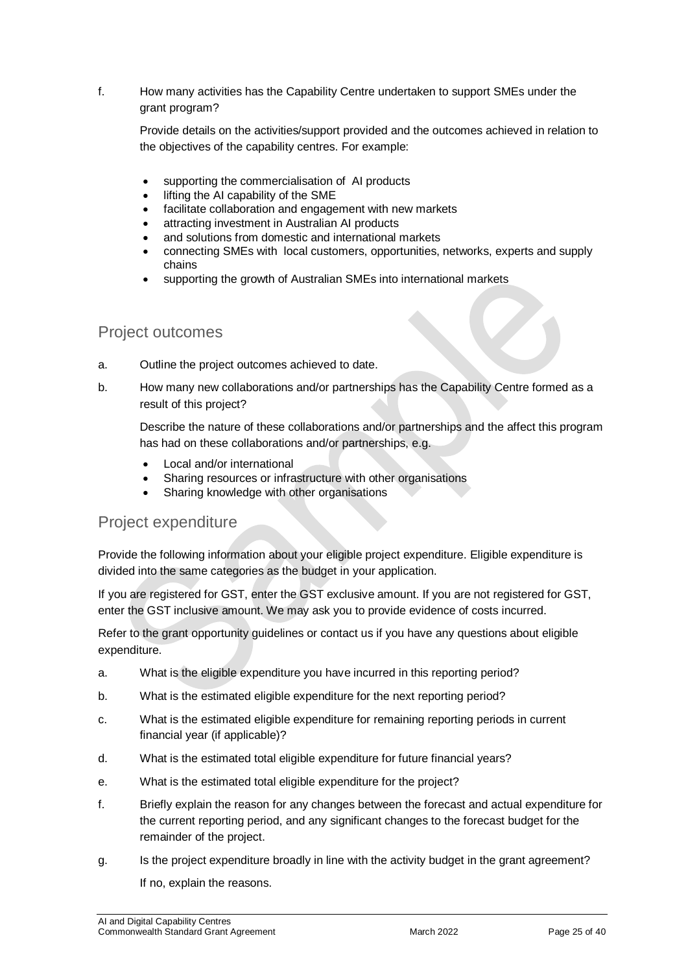#### f. How many activities has the Capability Centre undertaken to support SMEs under the grant program?

Provide details on the activities/support provided and the outcomes achieved in relation to the objectives of the capability centres. For example:

- supporting the commercialisation of AI products
- lifting the AI capability of the SME
- facilitate collaboration and engagement with new markets
- attracting investment in Australian AI products
- and solutions from domestic and international markets
- connecting SMEs with local customers, opportunities, networks, experts and supply chains
- supporting the growth of Australian SMEs into international markets

### Project outcomes

- a. Outline the project outcomes achieved to date.
- b. How many new collaborations and/or partnerships has the Capability Centre formed as a result of this project?

Describe the nature of these collaborations and/or partnerships and the affect this program has had on these collaborations and/or partnerships, e.g.

- Local and/or international
- Sharing resources or infrastructure with other organisations
- Sharing knowledge with other organisations

#### Project expenditure

Provide the following information about your eligible project expenditure. Eligible expenditure is divided into the same categories as the budget in your application.

If you are registered for GST, enter the GST exclusive amount. If you are not registered for GST, enter the GST inclusive amount. We may ask you to provide evidence of costs incurred.

Refer to the grant opportunity guidelines or contact us if you have any questions about eligible expenditure.

- a. What is the eligible expenditure you have incurred in this reporting period?
- b. What is the estimated eligible expenditure for the next reporting period?
- c. What is the estimated eligible expenditure for remaining reporting periods in current financial year (if applicable)?
- d. What is the estimated total eligible expenditure for future financial years?
- e. What is the estimated total eligible expenditure for the project?
- f. Briefly explain the reason for any changes between the forecast and actual expenditure for the current reporting period, and any significant changes to the forecast budget for the remainder of the project.
- g. Is the project expenditure broadly in line with the activity budget in the grant agreement? If no, explain the reasons.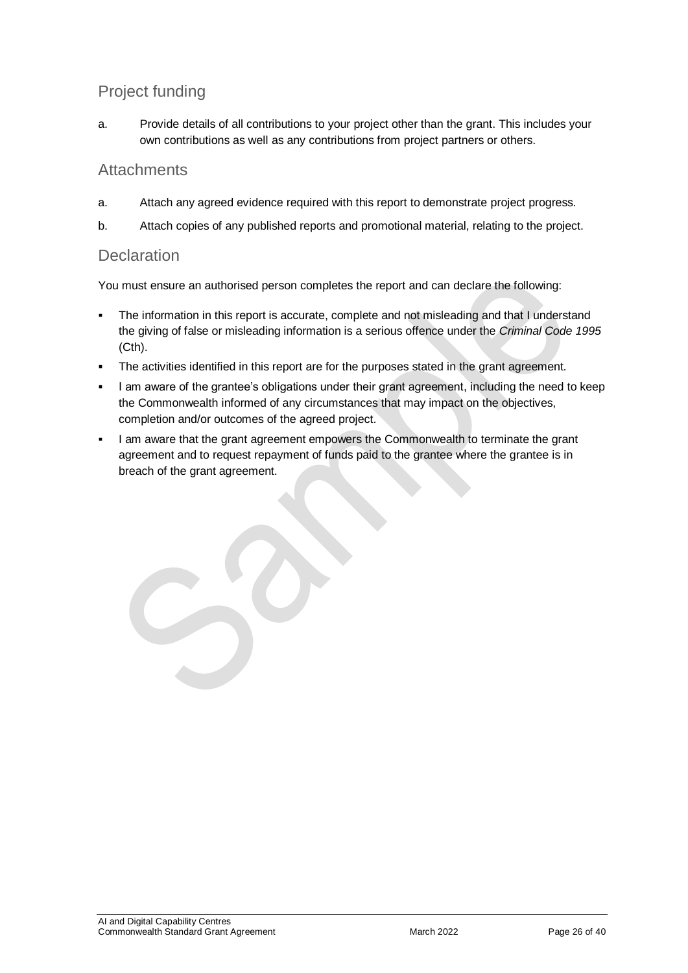## Project funding

a. Provide details of all contributions to your project other than the grant. This includes your own contributions as well as any contributions from project partners or others.

#### **Attachments**

- a. Attach any agreed evidence required with this report to demonstrate project progress.
- b. Attach copies of any published reports and promotional material, relating to the project.

#### **Declaration**

You must ensure an authorised person completes the report and can declare the following:

- The information in this report is accurate, complete and not misleading and that I understand the giving of false or misleading information is a serious offence under the *Criminal Code 1995* (Cth).
- The activities identified in this report are for the purposes stated in the grant agreement.
- I am aware of the grantee's obligations under their grant agreement, including the need to keep the Commonwealth informed of any circumstances that may impact on the objectives, completion and/or outcomes of the agreed project.
- I am aware that the grant agreement empowers the Commonwealth to terminate the grant agreement and to request repayment of funds paid to the grantee where the grantee is in breach of the grant agreement.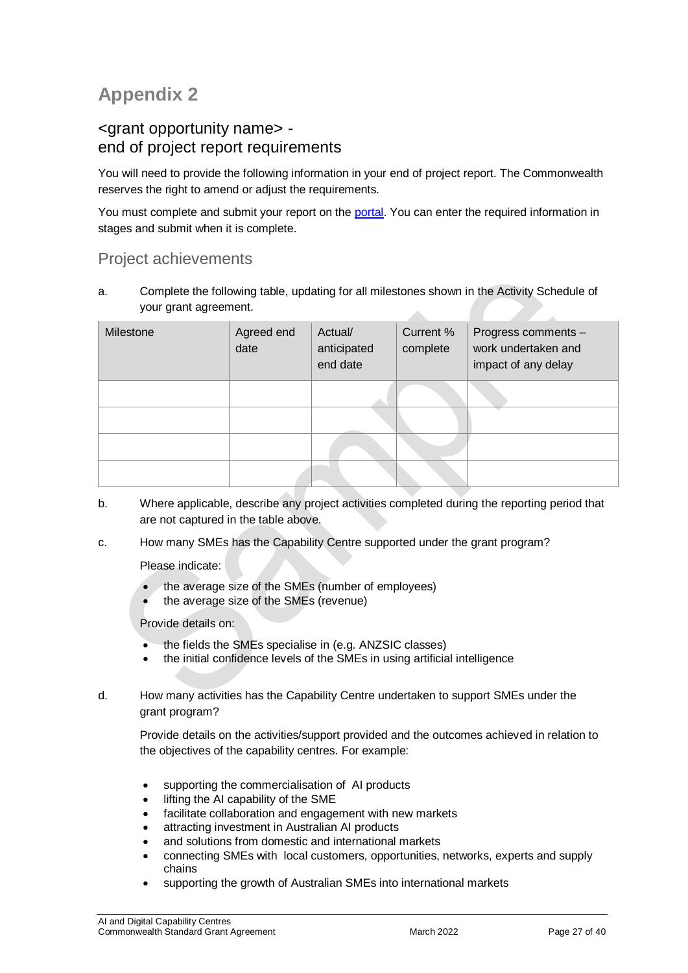## **Appendix 2**

#### <grant opportunity name> end of project report requirements

You will need to provide the following information in your end of project report. The Commonwealth reserves the right to amend or adjust the requirements.

You must complete and submit your report on the [portal.](https://portal.business.gov.au/) You can enter the required information in stages and submit when it is complete.

#### Project achievements

a. Complete the following table, updating for all milestones shown in the Activity Schedule of your grant agreement.  $\Delta \mathbf{r}$ 

| Milestone | Agreed end<br>date | Actual/<br>anticipated<br>end date | Current %<br>complete | Progress comments -<br>work undertaken and<br>impact of any delay |
|-----------|--------------------|------------------------------------|-----------------------|-------------------------------------------------------------------|
|           |                    |                                    |                       |                                                                   |
|           |                    |                                    |                       |                                                                   |
|           |                    |                                    |                       |                                                                   |
|           |                    |                                    |                       |                                                                   |

- b. Where applicable, describe any project activities completed during the reporting period that are not captured in the table above.
- c. How many SMEs has the Capability Centre supported under the grant program?

Please indicate:

- the average size of the SMEs (number of employees)
- the average size of the SMEs (revenue)

Provide details on:

- the fields the SMEs specialise in (e.g. ANZSIC classes)
- the initial confidence levels of the SMEs in using artificial intelligence
- d. How many activities has the Capability Centre undertaken to support SMEs under the grant program?

Provide details on the activities/support provided and the outcomes achieved in relation to the objectives of the capability centres. For example:

- supporting the commercialisation of AI products
- lifting the AI capability of the SME
- facilitate collaboration and engagement with new markets
- attracting investment in Australian AI products
- and solutions from domestic and international markets
- connecting SMEs with local customers, opportunities, networks, experts and supply chains
- supporting the growth of Australian SMEs into international markets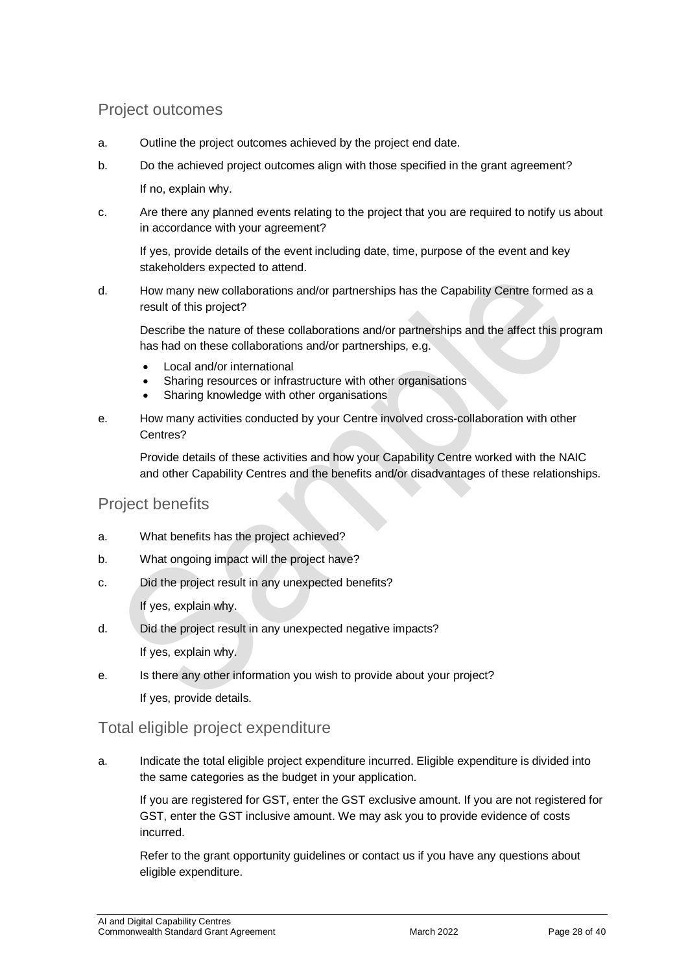### Project outcomes

- a. Outline the project outcomes achieved by the project end date.
- b. Do the achieved project outcomes align with those specified in the grant agreement?

If no, explain why.

c. Are there any planned events relating to the project that you are required to notify us about in accordance with your agreement?

If yes, provide details of the event including date, time, purpose of the event and key stakeholders expected to attend.

d. How many new collaborations and/or partnerships has the Capability Centre formed as a result of this project?

Describe the nature of these collaborations and/or partnerships and the affect this program has had on these collaborations and/or partnerships, e.g.

- Local and/or international
- Sharing resources or infrastructure with other organisations
- Sharing knowledge with other organisations
- e. How many activities conducted by your Centre involved cross-collaboration with other Centres?

Provide details of these activities and how your Capability Centre worked with the NAIC and other Capability Centres and the benefits and/or disadvantages of these relationships.

#### Project benefits

- a. What benefits has the project achieved?
- b. What ongoing impact will the project have?
- c. Did the project result in any unexpected benefits?

If yes, explain why.

d. Did the project result in any unexpected negative impacts?

If yes, explain why.

e. Is there any other information you wish to provide about your project? If yes, provide details.

#### Total eligible project expenditure

a. Indicate the total eligible project expenditure incurred. Eligible expenditure is divided into the same categories as the budget in your application.

If you are registered for GST, enter the GST exclusive amount. If you are not registered for GST, enter the GST inclusive amount. We may ask you to provide evidence of costs incurred.

Refer to the grant opportunity guidelines or contact us if you have any questions about eligible expenditure.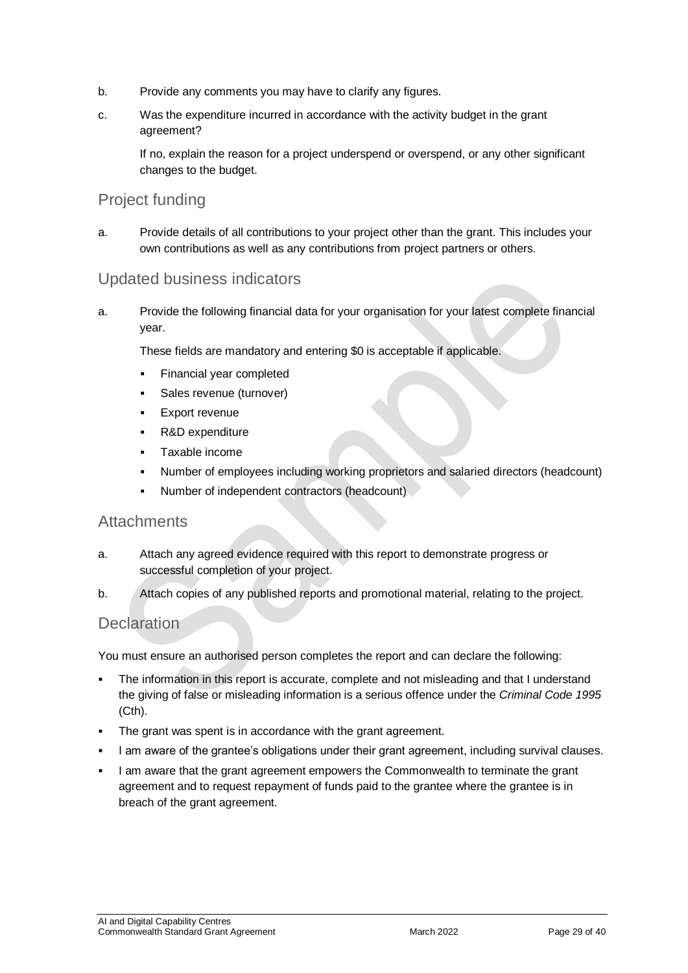- b. Provide any comments you may have to clarify any figures.
- c. Was the expenditure incurred in accordance with the activity budget in the grant agreement?

If no, explain the reason for a project underspend or overspend, or any other significant changes to the budget.

#### Project funding

a. Provide details of all contributions to your project other than the grant. This includes your own contributions as well as any contributions from project partners or others.

#### Updated business indicators

a. Provide the following financial data for your organisation for your latest complete financial year.

These fields are mandatory and entering \$0 is acceptable if applicable.

- Financial year completed
- Sales revenue (turnover)
- Export revenue
- R&D expenditure
- Taxable income
- Number of employees including working proprietors and salaried directors (headcount)
- Number of independent contractors (headcount)

#### **Attachments**

- a. Attach any agreed evidence required with this report to demonstrate progress or successful completion of your project.
- b. Attach copies of any published reports and promotional material, relating to the project.

#### **Declaration**

You must ensure an authorised person completes the report and can declare the following:

- The information in this report is accurate, complete and not misleading and that I understand the giving of false or misleading information is a serious offence under the *Criminal Code 1995* (Cth).
- The grant was spent is in accordance with the grant agreement.
- I am aware of the grantee's obligations under their grant agreement, including survival clauses.
- I am aware that the grant agreement empowers the Commonwealth to terminate the grant agreement and to request repayment of funds paid to the grantee where the grantee is in breach of the grant agreement.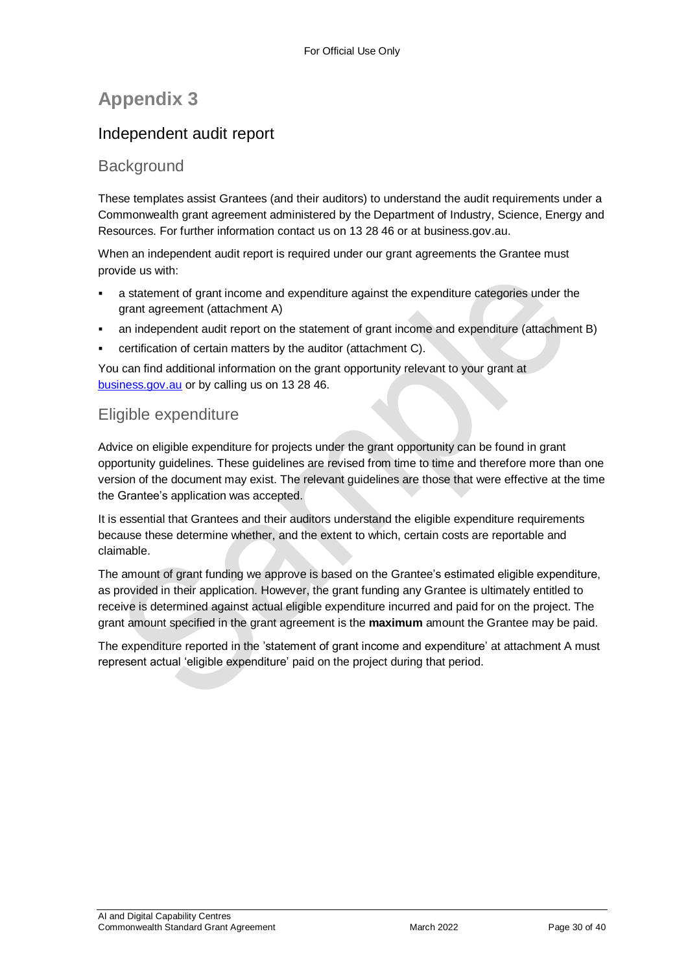## **Appendix 3**

## Independent audit report

#### **Background**

These templates assist Grantees (and their auditors) to understand the audit requirements under a Commonwealth grant agreement administered by the Department of Industry, Science, Energy and Resources. For further information contact us on 13 28 46 or at business.gov.au.

When an independent audit report is required under our grant agreements the Grantee must provide us with:

- a statement of grant income and expenditure against the expenditure categories under the grant agreement (attachment A)
- an independent audit report on the statement of grant income and expenditure (attachment B)
- certification of certain matters by the auditor (attachment C).

You can find additional information on the grant opportunity relevant to your grant at [business.gov.au](https://www.business.gov.au/) or by calling us on 13 28 46.

#### Eligible expenditure

Advice on eligible expenditure for projects under the grant opportunity can be found in grant opportunity guidelines. These guidelines are revised from time to time and therefore more than one version of the document may exist. The relevant guidelines are those that were effective at the time the Grantee's application was accepted.

It is essential that Grantees and their auditors understand the eligible expenditure requirements because these determine whether, and the extent to which, certain costs are reportable and claimable.

The amount of grant funding we approve is based on the Grantee's estimated eligible expenditure, as provided in their application. However, the grant funding any Grantee is ultimately entitled to receive is determined against actual eligible expenditure incurred and paid for on the project. The grant amount specified in the grant agreement is the **maximum** amount the Grantee may be paid.

The expenditure reported in the 'statement of grant income and expenditure' at attachment A must represent actual 'eligible expenditure' paid on the project during that period.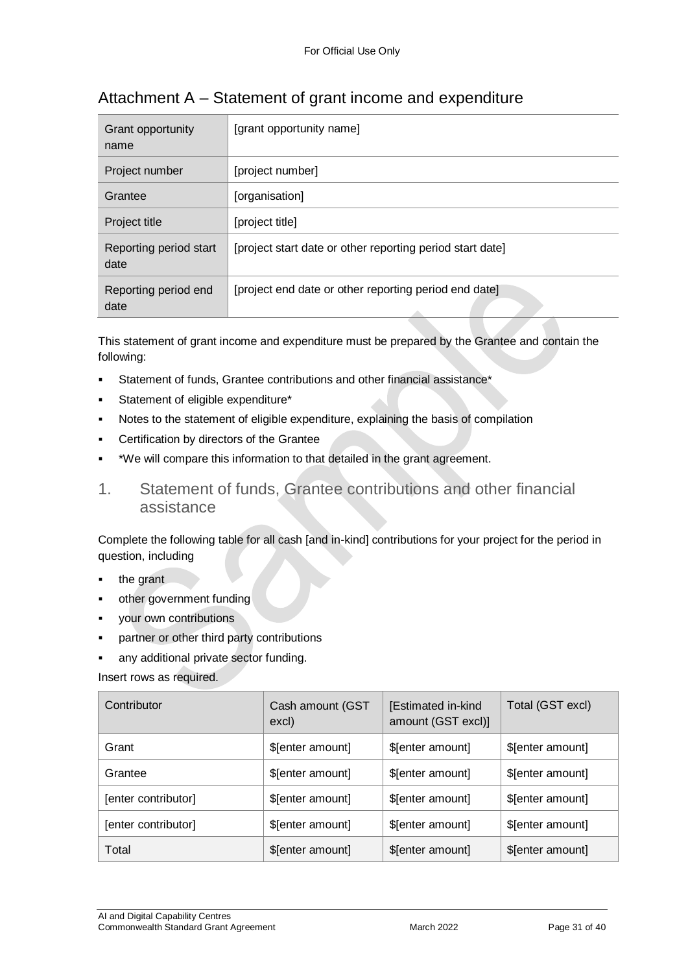| Grant opportunity<br>name      | [grant opportunity name]                                  |
|--------------------------------|-----------------------------------------------------------|
| Project number                 | [project number]                                          |
| Grantee                        | [organisation]                                            |
| Project title                  | [project title]                                           |
| Reporting period start<br>date | [project start date or other reporting period start date] |
| Reporting period end<br>date   | [project end date or other reporting period end date]     |

## Attachment A – Statement of grant income and expenditure

This statement of grant income and expenditure must be prepared by the Grantee and contain the following:

- Statement of funds, Grantee contributions and other financial assistance\*
- Statement of eligible expenditure\*
- Notes to the statement of eligible expenditure, explaining the basis of compilation
- Certification by directors of the Grantee
- \*We will compare this information to that detailed in the grant agreement.
- 1. Statement of funds, Grantee contributions and other financial assistance

Complete the following table for all cash [and in-kind] contributions for your project for the period in question, including

- the grant
- other government funding
- your own contributions
- partner or other third party contributions
- any additional private sector funding.

Insert rows as required.

| Contributor         | Cash amount (GST<br>excl) | [Estimated in-kind<br>amount (GST excl)] | Total (GST excl) |
|---------------------|---------------------------|------------------------------------------|------------------|
| Grant               | \$[enter amount]          | \$[enter amount]                         | \$[enter amount] |
| Grantee             | \$[enter amount]          | \$[enter amount]                         | \$[enter amount] |
| [enter contributor] | \$[enter amount]          | \$[enter amount]                         | \$[enter amount] |
| [enter contributor] | \$[enter amount]          | \$[enter amount]                         | \$[enter amount] |
| Total               | \$[enter amount]          | \$[enter amount]                         | \$[enter amount] |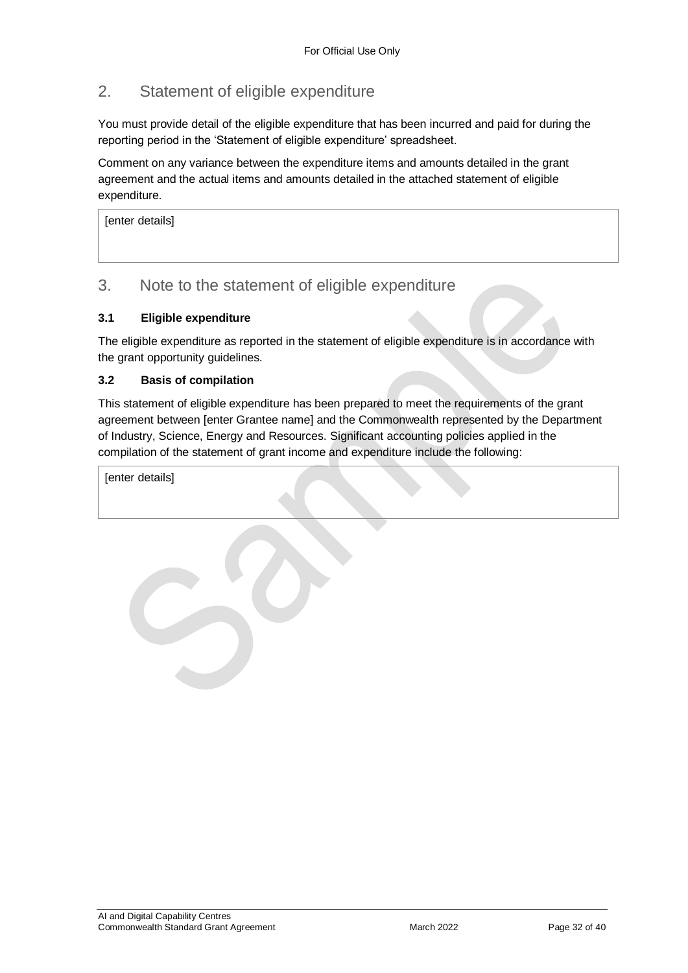### 2. Statement of eligible expenditure

You must provide detail of the eligible expenditure that has been incurred and paid for during the reporting period in the 'Statement of eligible expenditure' spreadsheet.

Comment on any variance between the expenditure items and amounts detailed in the grant agreement and the actual items and amounts detailed in the attached statement of eligible expenditure.

[enter details]

#### 3. Note to the statement of eligible expenditure

#### **3.1 Eligible expenditure**

The eligible expenditure as reported in the statement of eligible expenditure is in accordance with the grant opportunity guidelines.

#### **3.2 Basis of compilation**

This statement of eligible expenditure has been prepared to meet the requirements of the grant agreement between [enter Grantee name] and the Commonwealth represented by the Department of Industry, Science, Energy and Resources. Significant accounting policies applied in the compilation of the statement of grant income and expenditure include the following:

[enter details]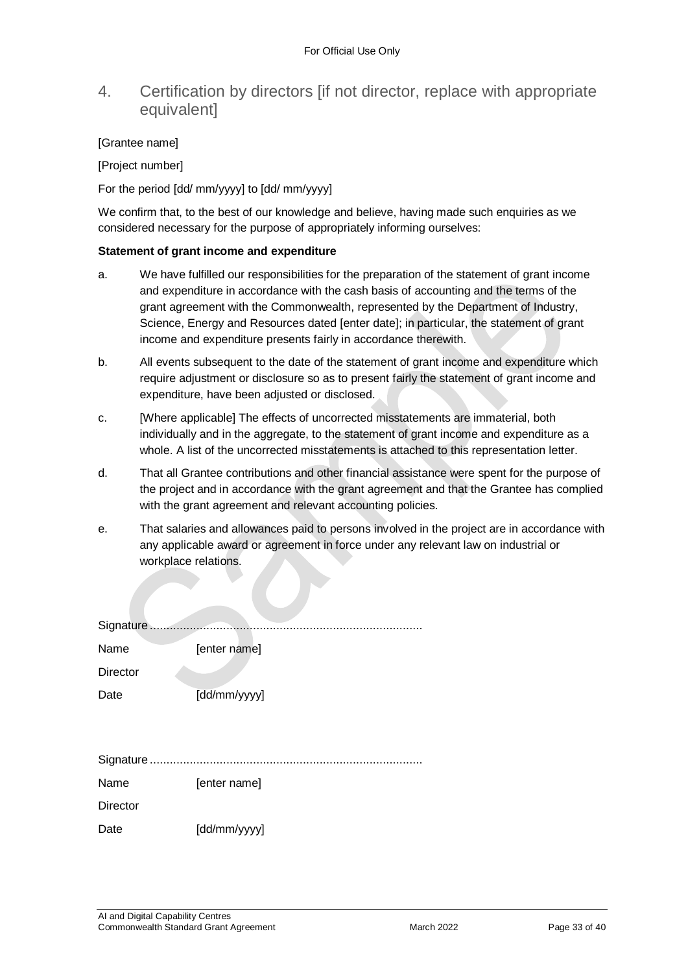#### 4. Certification by directors [if not director, replace with appropriate equivalent]

#### [Grantee name]

[Project number]

For the period [dd/ mm/yyyy] to [dd/ mm/yyyy]

We confirm that, to the best of our knowledge and believe, having made such enquiries as we considered necessary for the purpose of appropriately informing ourselves:

#### **Statement of grant income and expenditure**

- a. We have fulfilled our responsibilities for the preparation of the statement of grant income and expenditure in accordance with the cash basis of accounting and the terms of the grant agreement with the Commonwealth, represented by the Department of Industry, Science, Energy and Resources dated [enter date]; in particular, the statement of grant income and expenditure presents fairly in accordance therewith.
- b. All events subsequent to the date of the statement of grant income and expenditure which require adjustment or disclosure so as to present fairly the statement of grant income and expenditure, have been adjusted or disclosed.
- c. [Where applicable] The effects of uncorrected misstatements are immaterial, both individually and in the aggregate, to the statement of grant income and expenditure as a whole. A list of the uncorrected misstatements is attached to this representation letter.
- d. That all Grantee contributions and other financial assistance were spent for the purpose of the project and in accordance with the grant agreement and that the Grantee has complied with the grant agreement and relevant accounting policies.
- e. That salaries and allowances paid to persons involved in the project are in accordance with any applicable award or agreement in force under any relevant law on industrial or workplace relations.

| Name            | [enter name] |
|-----------------|--------------|
| <b>Director</b> |              |
| Date            | [dd/mm/yyyy] |
|                 |              |
|                 |              |
|                 |              |
| Name            | [enter name] |
| <b>Director</b> |              |
| Date            | [dd/mm/yyyy] |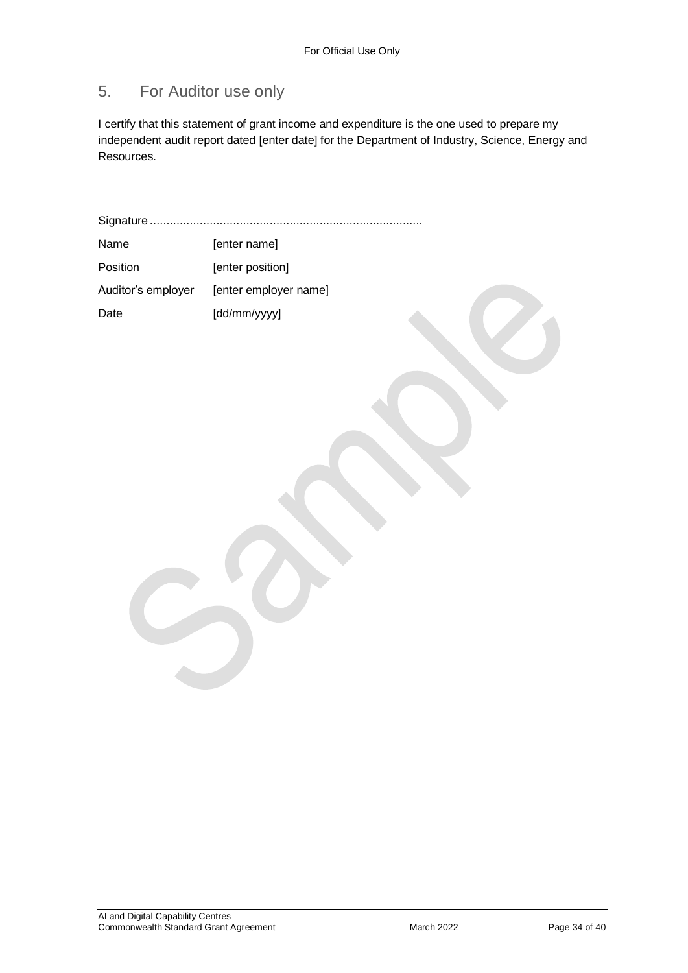## 5. For Auditor use only

I certify that this statement of grant income and expenditure is the one used to prepare my independent audit report dated [enter date] for the Department of Industry, Science, Energy and Resources.

Signature ..................................................................................

| Name               | [enter name]          |
|--------------------|-----------------------|
| Position           | [enter position]      |
| Auditor's employer | [enter employer name] |
| Date               | [dd/mm/yyyy]          |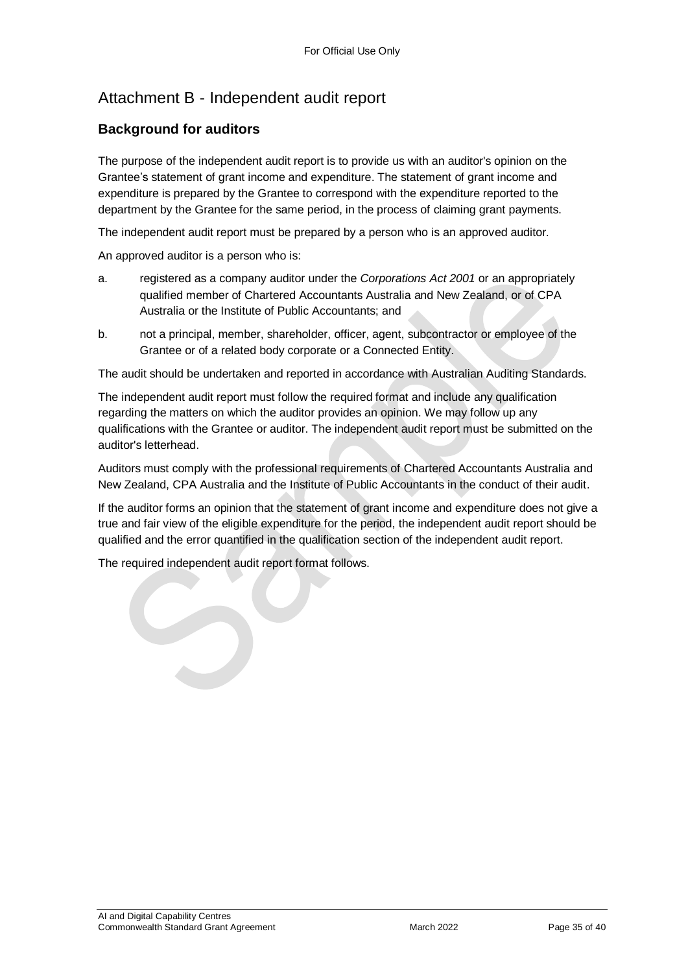## Attachment B - Independent audit report

#### **Background for auditors**

The purpose of the independent audit report is to provide us with an auditor's opinion on the Grantee's statement of grant income and expenditure. The statement of grant income and expenditure is prepared by the Grantee to correspond with the expenditure reported to the department by the Grantee for the same period, in the process of claiming grant payments.

The independent audit report must be prepared by a person who is an approved auditor.

An approved auditor is a person who is:

- a. registered as a company auditor under the *Corporations Act 2001* or an appropriately qualified member of Chartered Accountants Australia and New Zealand, or of CPA Australia or the Institute of Public Accountants; and
- b. not a principal, member, shareholder, officer, agent, subcontractor or employee of the Grantee or of a related body corporate or a Connected Entity.

The audit should be undertaken and reported in accordance with Australian Auditing Standards.

The independent audit report must follow the required format and include any qualification regarding the matters on which the auditor provides an opinion. We may follow up any qualifications with the Grantee or auditor. The independent audit report must be submitted on the auditor's letterhead.

Auditors must comply with the professional requirements of Chartered Accountants Australia and New Zealand, CPA Australia and the Institute of Public Accountants in the conduct of their audit.

If the auditor forms an opinion that the statement of grant income and expenditure does not give a true and fair view of the eligible expenditure for the period, the independent audit report should be qualified and the error quantified in the qualification section of the independent audit report.

The required independent audit report format follows.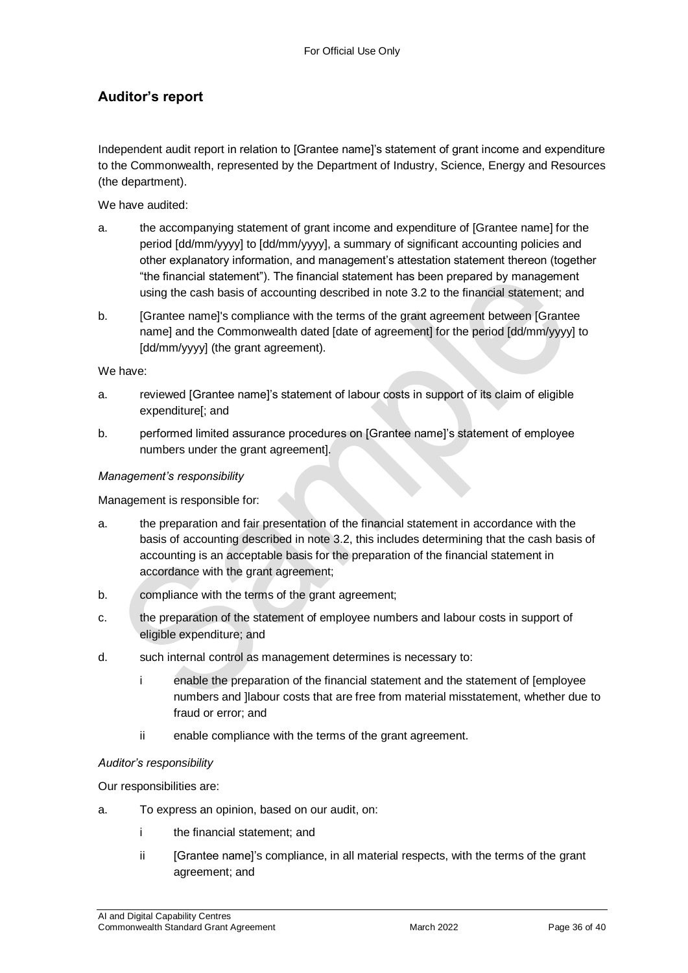#### **Auditor's report**

Independent audit report in relation to [Grantee name]'s statement of grant income and expenditure to the Commonwealth, represented by the Department of Industry, Science, Energy and Resources (the department).

We have audited:

- a. the accompanying statement of grant income and expenditure of [Grantee name] for the period [dd/mm/yyyy] to [dd/mm/yyyy], a summary of significant accounting policies and other explanatory information, and management's attestation statement thereon (together "the financial statement"). The financial statement has been prepared by management using the cash basis of accounting described in note 3.2 to the financial statement; and
- b. [Grantee name]'s compliance with the terms of the grant agreement between [Grantee name] and the Commonwealth dated [date of agreement] for the period [dd/mm/yyyy] to [dd/mm/yyyy] (the grant agreement).

We have:

- a. reviewed [Grantee name]'s statement of labour costs in support of its claim of eligible expenditure[; and
- b. performed limited assurance procedures on [Grantee name]'s statement of employee numbers under the grant agreement].

#### *Management's responsibility*

Management is responsible for:

- a. the preparation and fair presentation of the financial statement in accordance with the basis of accounting described in note 3.2, this includes determining that the cash basis of accounting is an acceptable basis for the preparation of the financial statement in accordance with the grant agreement;
- b. compliance with the terms of the grant agreement;
- c. the preparation of the statement of employee numbers and labour costs in support of eligible expenditure; and
- d. such internal control as management determines is necessary to:
	- i enable the preparation of the financial statement and the statement of [employee numbers and ]labour costs that are free from material misstatement, whether due to fraud or error; and
	- ii enable compliance with the terms of the grant agreement.

#### *Auditor's responsibility*

Our responsibilities are:

- a. To express an opinion, based on our audit, on:
	- i the financial statement; and
	- ii [Grantee name]'s compliance, in all material respects, with the terms of the grant agreement; and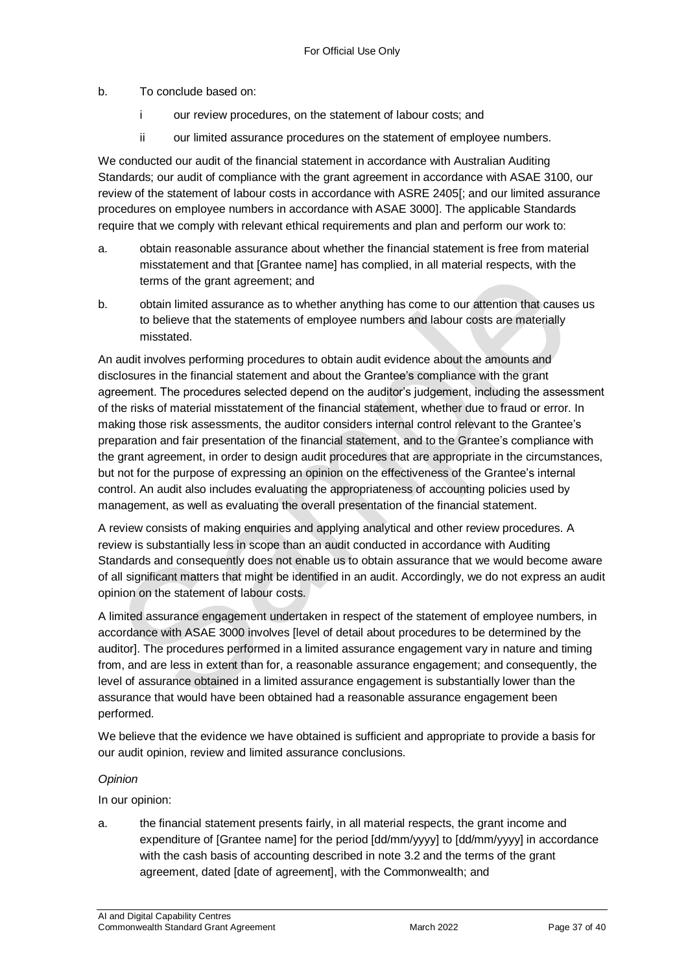#### b. To conclude based on:

- i our review procedures, on the statement of labour costs; and
- ii our limited assurance procedures on the statement of employee numbers.

We conducted our audit of the financial statement in accordance with Australian Auditing Standards; our audit of compliance with the grant agreement in accordance with ASAE 3100, our review of the statement of labour costs in accordance with ASRE 2405[; and our limited assurance procedures on employee numbers in accordance with ASAE 3000]. The applicable Standards require that we comply with relevant ethical requirements and plan and perform our work to:

- a. obtain reasonable assurance about whether the financial statement is free from material misstatement and that [Grantee name] has complied, in all material respects, with the terms of the grant agreement; and
- b. obtain limited assurance as to whether anything has come to our attention that causes us to believe that the statements of employee numbers and labour costs are materially misstated.

An audit involves performing procedures to obtain audit evidence about the amounts and disclosures in the financial statement and about the Grantee's compliance with the grant agreement. The procedures selected depend on the auditor's judgement, including the assessment of the risks of material misstatement of the financial statement, whether due to fraud or error. In making those risk assessments, the auditor considers internal control relevant to the Grantee's preparation and fair presentation of the financial statement, and to the Grantee's compliance with the grant agreement, in order to design audit procedures that are appropriate in the circumstances, but not for the purpose of expressing an opinion on the effectiveness of the Grantee's internal control. An audit also includes evaluating the appropriateness of accounting policies used by management, as well as evaluating the overall presentation of the financial statement.

A review consists of making enquiries and applying analytical and other review procedures. A review is substantially less in scope than an audit conducted in accordance with Auditing Standards and consequently does not enable us to obtain assurance that we would become aware of all significant matters that might be identified in an audit. Accordingly, we do not express an audit opinion on the statement of labour costs.

A limited assurance engagement undertaken in respect of the statement of employee numbers, in accordance with ASAE 3000 involves [level of detail about procedures to be determined by the auditor]. The procedures performed in a limited assurance engagement vary in nature and timing from, and are less in extent than for, a reasonable assurance engagement; and consequently, the level of assurance obtained in a limited assurance engagement is substantially lower than the assurance that would have been obtained had a reasonable assurance engagement been performed.

We believe that the evidence we have obtained is sufficient and appropriate to provide a basis for our audit opinion, review and limited assurance conclusions.

#### *Opinion*

In our opinion:

a. the financial statement presents fairly, in all material respects, the grant income and expenditure of [Grantee name] for the period [dd/mm/yyyy] to [dd/mm/yyyy] in accordance with the cash basis of accounting described in note 3.2 and the terms of the grant agreement, dated [date of agreement], with the Commonwealth; and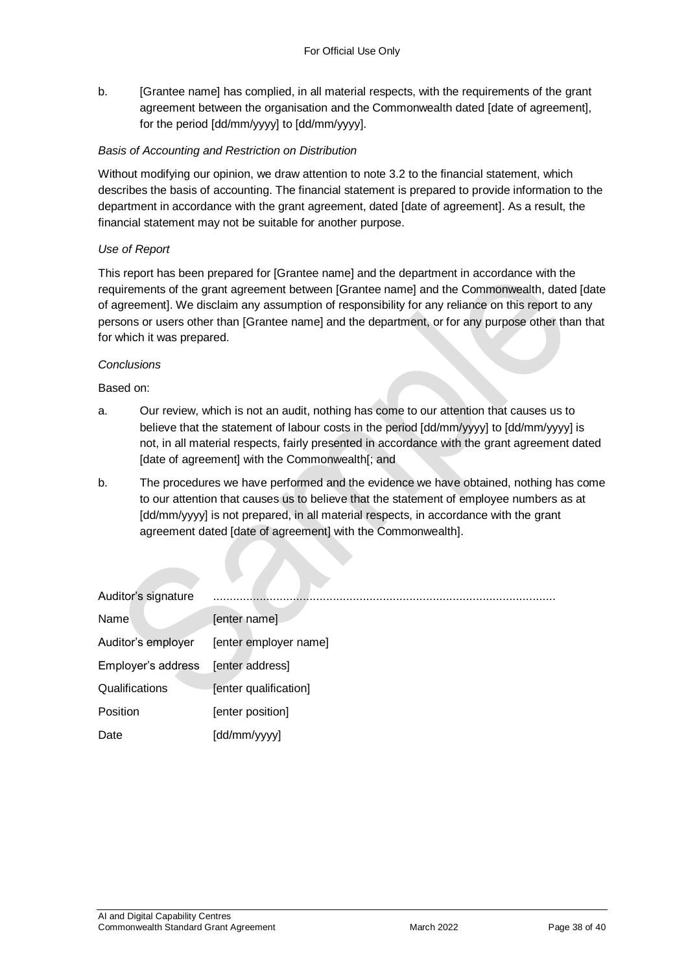b. [Grantee name] has complied, in all material respects, with the requirements of the grant agreement between the organisation and the Commonwealth dated [date of agreement], for the period [dd/mm/yyyy] to [dd/mm/yyyy].

#### *Basis of Accounting and Restriction on Distribution*

Without modifying our opinion, we draw attention to note 3.2 to the financial statement, which describes the basis of accounting. The financial statement is prepared to provide information to the department in accordance with the grant agreement, dated [date of agreement]. As a result, the financial statement may not be suitable for another purpose.

#### *Use of Report*

This report has been prepared for [Grantee name] and the department in accordance with the requirements of the grant agreement between [Grantee name] and the Commonwealth, dated [date of agreement]. We disclaim any assumption of responsibility for any reliance on this report to any persons or users other than [Grantee name] and the department, or for any purpose other than that for which it was prepared.

#### *Conclusions*

Based on:

- a. Our review, which is not an audit, nothing has come to our attention that causes us to believe that the statement of labour costs in the period [dd/mm/yyyy] to [dd/mm/yyyy] is not, in all material respects, fairly presented in accordance with the grant agreement dated [date of agreement] with the Commonwealth[; and
- b. The procedures we have performed and the evidence we have obtained, nothing has come to our attention that causes us to believe that the statement of employee numbers as at [dd/mm/yyyy] is not prepared, in all material respects, in accordance with the grant agreement dated [date of agreement] with the Commonwealth].

| Auditor's signature |                       |
|---------------------|-----------------------|
| Name                | [enter name]          |
| Auditor's employer  | [enter employer name] |
| Employer's address  | [enter address]       |
| Qualifications      | [enter qualification] |
| <b>Position</b>     | [enter position]      |
| Date                | [dd/mm/yyyy]          |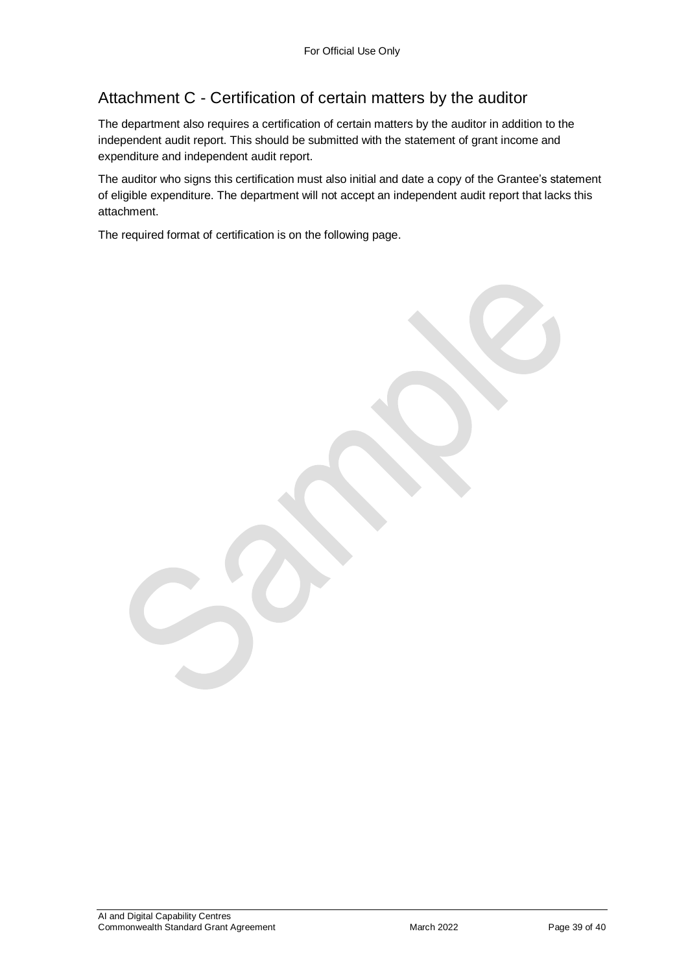## Attachment C - Certification of certain matters by the auditor

The department also requires a certification of certain matters by the auditor in addition to the independent audit report. This should be submitted with the statement of grant income and expenditure and independent audit report.

The auditor who signs this certification must also initial and date a copy of the Grantee's statement of eligible expenditure. The department will not accept an independent audit report that lacks this attachment.

The required format of certification is on the following page.